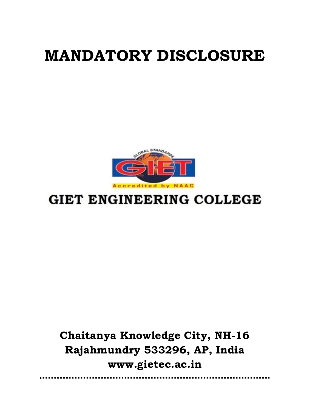# MANDATORY DISCLOSURE



# **GIET ENGINEERING COLLEGE**

Chaitanya Knowledge City, NH-16 Rajahmundry 533296, AP, India www.gietec.ac.in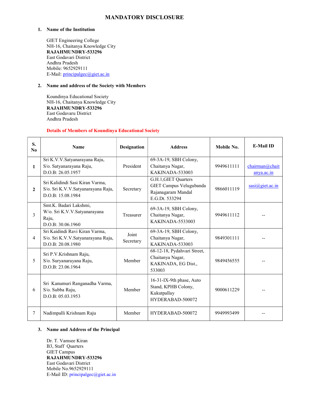## MANDATORY DISCLOSURE

#### 1. Name of the Institution

GIET Engineering College NH-16, Chaitanya Knowledge City RAJAHMUNDRY-533296 East Godavari District Andhra Pradesh Mobile: 9652929111 E-Mail: principalgec@giet.ac.in

#### 2. Name and address of the Society with Members

Koundinya Educational Society NH-16, Chaitanya Knowledge City RAJAHMUNDRY-533296 East Godavaru District Andhra Pradesh

#### Details of Members of Koundinya Educational Society

| S.<br>N <sub>0</sub> | <b>Name</b>                                                                                | <b>Designation</b> | <b>Address</b>                                                                          | Mobile No. | <b>E-Mail ID</b>             |
|----------------------|--------------------------------------------------------------------------------------------|--------------------|-----------------------------------------------------------------------------------------|------------|------------------------------|
| $\mathbf{1}$         | Sri K.V.V.Satyanarayana Raju,<br>S/o. Satyanarayana Raju,<br>D.O.B: 26.05.1957             | President          | 69-3A-19, SBH Colony,<br>Chaitanya Nagar,<br><b>KAKINADA-533003</b>                     | 9949611111 | chairman@chait<br>anya.ac.in |
| $\mathbf{2}$         | Sri Kalidindi Sasi Kiran Varma,<br>S/o. Sri K.V.V.Satyanarayana Raju,<br>D.O.B: 15.08.1984 | Secretary          | G.H.1, GIET Quarters<br>GIET Campus Velugubanda<br>Rajanagaram Mandal<br>E.G.Dt. 533294 | 9866011119 | $sasi(\omega)$ giet.ac.in    |
| $\mathcal{E}$        | Smt.K. Badari Lakshmi,<br>W/o. Sri K.V.V.Satyanarayana<br>Raju,<br>D.O.B: 30.06.1960       | Treasurer          | 69-3A-19, SBH Colony,<br>Chaitanya Nagar,<br>KAKINADA-5533003                           | 9949611112 |                              |
| $\overline{4}$       | Sri Kaidindi Ravi Kiran Varma,<br>S/o. Sri K.V.V.Satyanarayana Raju,<br>D.O.B: 20.08.1980  | Joint<br>Secretary | 69-3A-19, SBH Colony,<br>Chaitanya Nagar,<br>KAKINADA-533003                            | 9849301111 |                              |
| 5                    | Sri P.V.Krishnam Raju,<br>S/o. Suryanarayana Raju,<br>D.O.B: 23.06.1964                    | Member             | 68-12-18, Pydahvari Street,<br>Chaitanya Nagar,<br>KAKINADA, EG Dist.,<br>533003        | 9849456555 |                              |
| 6                    | Sri Kanumuri Ranganadha Varma,<br>S/o. Subba Raju,<br>D.O.B: 05.03.1953                    | Member             | 16-31-IX-9th phase, Auto<br>Stand, KPHB Colony,<br>Kukutpallay<br>HYDERABAD-500072      | 9000611229 |                              |
| 7                    | Nadimpalli Krishnam Raju                                                                   | Member             | HYDERABAD-500072                                                                        | 9949993499 |                              |

#### 3. Name and Address of the Principal

Dr. T. Vamsee Kiran B3, Staff Quarters GIET Campus RAJAHMUNDRY-533296 East Godavari District Mobile No.9652929111 E-Mail ID: principalgec@giet.ac.in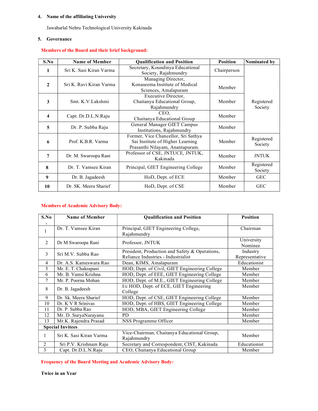#### 4. Name of the affiliating University

Jawaharlal Nehru Technological University Kakinada

#### 5. Governance

# Members of the Board and their brief background:

| S.No                    | <b>Name of Member</b>   | <b>Qualification and Position</b>                                                                          | <b>Position</b> | Nominated by          |
|-------------------------|-------------------------|------------------------------------------------------------------------------------------------------------|-----------------|-----------------------|
| L                       | Sri K. Sasi Kiran Varma | Secretary, Koundinya Educational<br>Society, Rajahmundry                                                   | Chairperson     |                       |
| $\overline{2}$          | Sri K. Ravi Kiran Varma | Managing Director,<br>Konaseema Institute of Medical<br>Sciences, Amalapuram                               | Member          |                       |
| 3                       | Smt. K.V.Lakshmi        | Executive Director,<br>Chaitanya Educational Group,<br>Rajahmundry                                         | Member          | Registered<br>Society |
| $\overline{\mathbf{4}}$ | Capt. Dr.D.L.N.Raju     | CEO.<br>Chaitanya Educational Group                                                                        | Member          |                       |
| 5                       | Dr. P. Subba Raju       | General Manager GIET Campus<br>Institutions, Rajahmundry                                                   | Member          |                       |
| 6                       | Prof. K.B.R. Varma      | Former, Vice Chancellor, Sri Sathya<br>Sai Institute of Higher Learning<br>Prasanthi Nilayam, Anantapuram. | Member          | Registered<br>Society |
| 7                       | Dr. M. Swaroopa Rani    | Professor of CSE, JNTUCE, JNTUK,<br>Kakinada                                                               | Member          | <b>JNTUK</b>          |
| 8                       | Dr. T. Vamsee Kiran     | Principal, GIET Engineering College                                                                        | Member          | Registered<br>Society |
| 9                       | Dr. B. Jagadeesh        | HoD, Dept. of ECE                                                                                          | Member          | <b>GEC</b>            |
| 10                      | Dr. SK. Meera Sharief   | HoD, Dept. of CSE                                                                                          | Member          | <b>GEC</b>            |

#### Members of Academic Advisory Body:

| S.No | <b>Name of Member</b>   | <b>Oualification and Position</b>                                                     | <b>Position</b>            |
|------|-------------------------|---------------------------------------------------------------------------------------|----------------------------|
|      | Dr. T. Vamsee Kiran     | Principal, GIET Engineering College,<br>Rajahmundry                                   | Chairman                   |
| 2    | Dr M Swaroopa Rani      | Professor, JNTUK                                                                      | University<br>Nominee      |
| 3    | Sri M.V. Subba Rao      | President, Production and Safety & Operations,<br>Reliance Industries - Industrialist | Industry<br>Representative |
| 4    | Dr. A.S. Kameswara Rao  | Dean, KIMS, Amalapuram                                                                | Educationist               |
| 5    | Mr. E. T. Chakrapani    | HOD, Dept. of Civil, GIET Engineering College                                         | Member                     |
| 6    | Mr. B. Vamsi Krishna    | HOD, Dept. of EEE, GIET Engineering College                                           | Member                     |
| 7    | Mr. P. Poorna Mohan     | HOD, Dept. of M.E., GIET Engineering College                                          | Member                     |
| 8    | Dr. B. Jagadeesh        | I/c HOD, Dept. of ECE, GIET Engineering<br>College                                    | Member                     |
| 9    | Dr. Sk. Meera Sharief   | HOD, Dept. of CSE, GIET Engineering College                                           | Member                     |
| 10   | Dr. K V R Srinivas      | HOD, Dept. of HBS, GIET Engineering College                                           | Member                     |
| 11   | Dr. P. Subba Rao        | HOD, MBA, GIET Engineering College                                                    | Member                     |
| 12   | Mr. D. SuryaNarayana    | PD                                                                                    | Member                     |
| 13   | Mr.K. Rajendra Prasad   | NSS Programme Officer                                                                 | Member                     |
|      | <b>Special Invitees</b> |                                                                                       |                            |
|      | Sri K. Sasi Kiran Varma | Vice-Chairman, Chaitanya Educational Group,<br>Rajahmundry                            | Member                     |
| 2    | Sri P.V. Krishnam Raju  | Secretary and Correspondent, CIST, Kakinada                                           | Educationist               |
| 3    | Capt. Dr.D.L.N.Raju     | CEO, Chaitanya Educational Group                                                      | Member                     |

Frequency of the Board Meeting and Academic Advisory Body:

Twice in an Year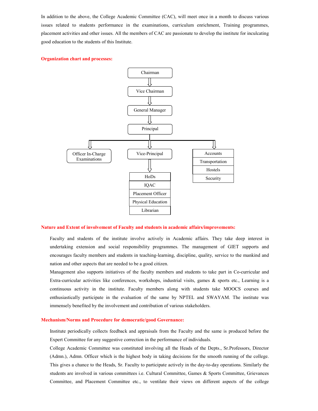In addition to the above, the College Academic Committee (CAC), will meet once in a month to discuss various issues related to students performance in the examinations, curriculum enrichment, Training programmes, placement activities and other issues. All the members of CAC are passionate to develop the institute for inculcating good education to the students of this Institute.

#### Organization chart and processes:



#### Nature and Extent of involvement of Faculty and students in academic affairs/improvements:

Faculty and students of the institute involve actively in Academic affairs. They take deep interest in undertaking extension and social responsibility programmes. The management of GIET supports and encourages faculty members and students in teaching-learning, discipline, quality, service to the mankind and nation and other aspects that are needed to be a good citizen.

Management also supports initiatives of the faculty members and students to take part in Co-curricular and Extra-curricular activities like conferences, workshops, industrial visits, games & sports etc., Learning is a continuous activity in the institute. Faculty members along with students take MOOCS courses and enthusiastically participate in the evaluation of the same by NPTEL and SWAYAM. The institute was immensely benefited by the involvement and contribution of various stakeholders.

#### Mechanism/Norms and Procedure for democratic/good Governance:

Institute periodically collects feedback and appraisals from the Faculty and the same is produced before the Expert Committee for any suggestive correction in the performance of individuals.

College Academic Committee was constituted involving all the Heads of the Depts., Sr.Professors, Director (Admn.), Admn. Officer which is the highest body in taking decisions for the smooth running of the college. This gives a chance to the Heads, Sr. Faculty to participate actively in the day-to-day operations. Similarly the students are involved in various committees i.e. Cultural Committee, Games & Sports Committee, Grievances Committee, and Placement Committee etc., to ventilate their views on different aspects of the college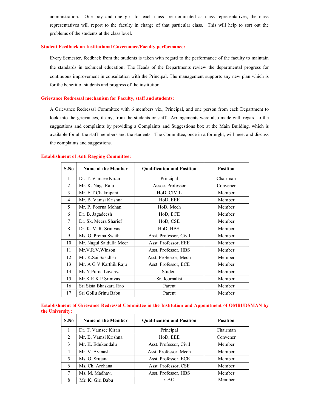administration. One boy and one girl for each class are nominated as class representatives, the class representatives will report to the faculty in charge of that particular class. This will help to sort out the problems of the students at the class level.

#### Student Feedback on Institutional Governance/Faculty performance:

Every Semester, feedback from the students is taken with regard to the performance of the faculty to maintain the standards in technical education. The Heads of the Departments review the departmental progress for continuous improvement in consultation with the Principal. The management supports any new plan which is for the benefit of students and progress of the institution.

#### Grievance Redressal mechanism for Faculty, staff and students:

A Grievance Redressal Committee with 6 members viz., Principal, and one person from each Department to look into the grievances, if any, from the students or staff. Arrangements were also made with regard to the suggestions and complaints by providing a Complaints and Suggestions box at the Main Building, which is available for all the staff members and the students. The Committee, once in a fortnight, will meet and discuss the complaints and suggestions.

#### Establishment of Anti Ragging Committee:

| S.No           | <b>Name of the Member</b> | <b>Qualification and Position</b> | <b>Position</b> |
|----------------|---------------------------|-----------------------------------|-----------------|
| 1              | Dr. T. Vamsee Kiran       | Principal                         | Chairman        |
| $\overline{2}$ | Mr. K. Naga Raju          | Assoc. Professor                  | Convener        |
| 3              | Mr. E.T.Chakrapani        | HoD, CIVIL                        | Member          |
| $\overline{4}$ | Mr. B. Vamsi Krishna      | HoD, EEE                          | Member          |
| 5              | Mr. P. Poorna Mohan       | HoD, Mech                         | Member          |
| 6              | Dr. B. Jagadeesh          | HoD, ECE                          | Member          |
| 7              | Dr. Sk. Meera Sharief     | HoD, CSE                          | Member          |
| 8              | Dr. K. V. R. Srinivas     | HoD, HBS,                         | Member          |
| 9              | Ms. G. Prema Swathi       | Asst. Professor, Civil            | Member          |
| 10             | Mr. Nagul Saidulla Meer   | Asst. Professor, EEE              | Member          |
| 11             | Mr.V.R.V.Winson           | Asst. Professor, HBS              | Member          |
| 12             | Mr. K.Sai Sasidhar        | Asst. Professor, Mech             | Member          |
| 13             | Mr. A G V Karthik Raju    | Asst. Professor, ECE              | Member          |
| 14             | Ms.Y.Purna Lavanya        | Student                           | Member          |
| 15             | Mr.K R K P Srinivas       | Sr. Journalist                    | Member          |
| 16             | Sri Sista Bhaskara Rao    | Parent                            | Member          |
| 17             | Sri Gollu Srinu Babu      | Parent                            | Member          |

Establishment of Grievance Redressal Committee in the Institution and Appointment of OMBUDSMAN by the University:

| S.No                     | <b>Name of the Member</b> | <b>Oualification and Position</b> | <b>Position</b> |
|--------------------------|---------------------------|-----------------------------------|-----------------|
|                          | Dr. T. Vamsee Kiran       | Principal                         | Chairman        |
| $\mathfrak{D}_{1}^{(1)}$ | Mr. B. Vamsi Krishna      | HoD, EEE                          | Convener        |
| 3                        | Mr. K. Edukondalu         | Asst. Professor, Civil            | Member          |
| 4                        | Mr. V. Avinash            | Asst. Professor, Mech             | Member          |
| 5                        | Ms. G. Srujana            | Asst. Professor, ECE              | Member          |
| 6                        | Ms. Ch. Archana           | Asst. Professor, CSE              | Member          |
|                          | Ms. M. Madhavi            | Asst. Professor, HBS              | Member          |
| 8                        | Mr. K. Giri Babu          | CAO                               | Member          |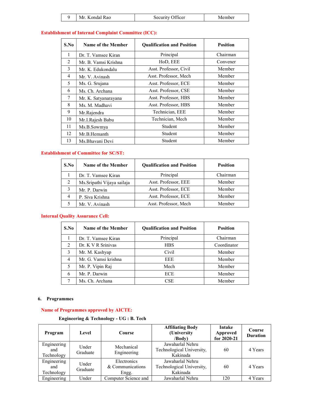| M. | $\sim$<br>$ICP^*$<br>$-111 - 111$<br>------- | -- |
|----|----------------------------------------------|----|
|----|----------------------------------------------|----|

# Establishment of Internal Complaint Committee (ICC):

| S.No         | <b>Name of the Member</b> | <b>Qualification and Position</b> | <b>Position</b> |
|--------------|---------------------------|-----------------------------------|-----------------|
| $\mathbf{1}$ | Dr. T. Vamsee Kiran       | Principal                         | Chairman        |
| 2            | Mr. B. Vamsi Krishna      | HoD, EEE                          | Convener        |
| 3            | Mr. K. Edukondalu         | Asst. Professor, Civil            | Member          |
| 4            | Mr. V. Avinash            | Asst. Professor, Mech             | Member          |
| 5            | Ms. G. Srujana            | Asst. Professor, ECE              | Member          |
| 6            | Ms. Ch. Archana           | Asst. Professor, CSE              | Member          |
| 7            | Mr. K. Satyanarayana      | Asst. Professor, HBS              | Member          |
| 8            | Ms. M. Madhavi            | Asst. Professor, HBS              | Member          |
| 9            | Mr.Rajendra               | Technician, EEE                   | Member          |
| 10           | Mr.I.Rajesh Babu          | Technician, Mech                  | Member          |
| 11           | Ms.B.Sowmya               | Student                           | Member          |
| 12           | Mr.B.Hemanth              | Student                           | Member          |
| 13           | Ms.Bhavani Devi           | Student                           | Member          |

#### Establishment of Committee for SC/ST:

| S.No | <b>Name of the Member</b>   | <b>Oualification and Position</b> | <b>Position</b> |
|------|-----------------------------|-----------------------------------|-----------------|
|      | Dr. T. Vamsee Kiran         | Principal                         | Chairman        |
| 2    | Ms. Sripathi Vijaya sailaja | Asst. Professor, EEE              | Member          |
|      | Mr. P. Darwin               | Asst. Professor, ECE              | Member          |
| 4    | P. Siva Krishna             | Asst. Professor, ECE              | Member          |
|      | Mr. V. Avinash              | Asst. Professor, Mech             | Member          |

#### Internal Quality Assurance Cell:

| S.No                          | <b>Name of the Member</b> | <b>Qualification and Position</b> | <b>Position</b> |
|-------------------------------|---------------------------|-----------------------------------|-----------------|
|                               | Dr. T. Vamsee Kiran       | Principal                         | Chairman        |
| $\mathfrak{D}_{\mathfrak{p}}$ | Dr. K V R Srinivas        | <b>HBS</b>                        | Coordinator     |
| 3                             | Mr. M. Kashyap            | Civil                             | Member          |
| 4                             | Mr. G. Vamsi krishna      | EEE.                              | Member          |
| 5                             | Mr. P. Vipin Raj          | Mech                              | Member          |
| 6                             | Mr. P. Darwin             | <b>ECE</b>                        | Member          |
|                               | Ms. Ch. Archana           | CSE                               | Member          |

#### 6. Programmes

#### Name of Programmes approved by AICTE:

#### Engineering & Technology - UG : B. Tech

| Program                          | Level             | <b>Course</b>                            | <b>Affiliating Body</b><br>(University<br>$\langle$ <b>Body</b> $\rangle$ | <b>Intake</b><br>Approved<br>for 2020-21 | Course<br><b>Duration</b> |
|----------------------------------|-------------------|------------------------------------------|---------------------------------------------------------------------------|------------------------------------------|---------------------------|
| Engineering<br>and<br>Technology | Under<br>Graduate | Mechanical<br>Engineering                | Jawaharlal Nehru<br>Technological University,<br>Kakinada                 | 60                                       | 4 Years                   |
| Engineering<br>and<br>Technology | Under<br>Graduate | Electronics<br>& Communications<br>Engg. | Jawaharlal Nehru<br>Technological University,<br>Kakinada                 | 60                                       | 4 Years                   |
| Engineering                      | Under             | Computer Science and                     | Jawaharlal Nehru                                                          | 120                                      | 4 Years                   |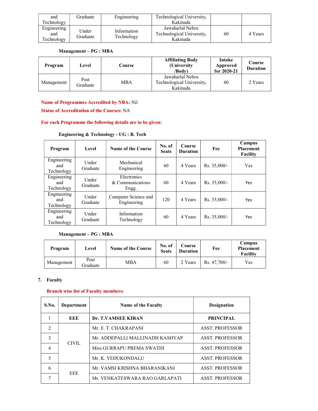| and                              | Graduate          | Engineering               | Technological University,                                 |    |         |
|----------------------------------|-------------------|---------------------------|-----------------------------------------------------------|----|---------|
| Technology                       |                   |                           | Kakinada                                                  |    |         |
| Engineering<br>and<br>Technology | Under<br>Graduate | Information<br>Technology | Jawaharlal Nehru<br>Technological University,<br>Kakinada | 60 | 4 Years |

#### Management – PG : MBA

| Program    | Level            | Course | <b>Affiliating Body</b><br>(University<br>$\sqrt{Body}$   | Intake<br>Approved<br>for 2020-21 | Course<br><b>Duration</b> |
|------------|------------------|--------|-----------------------------------------------------------|-----------------------------------|---------------------------|
| Management | Post<br>Graduate | MBA    | Jawaharlal Nehru<br>Technological University,<br>Kakinada | 60                                | 2 Years                   |

Name of Programmes Accredited by NBA: Nil

Status of Accreditation of the Courses: NA

#### For each Programme the following details are to be given:

| Engineering & Technology - UG : B. Tech |  |  |
|-----------------------------------------|--|--|
|                                         |  |  |

| Program                          | Level             | <b>Name of the Course</b>                | No. of<br><b>Seats</b> | Course<br><b>Duration</b> | Fee            | Campus<br><b>Placement</b><br>Facility |
|----------------------------------|-------------------|------------------------------------------|------------------------|---------------------------|----------------|----------------------------------------|
| Engineering<br>and<br>Technology | Under<br>Graduate | Mechanical<br>Engineering                | 60                     | 4 Years                   | $Rs. 35,000/-$ | Yes                                    |
| Engineering<br>and<br>Technology | Under<br>Graduate | Electronics<br>& Communications<br>Engg. | 60                     | 4 Years                   | $Rs. 35,000/-$ | Yes                                    |
| Engineering<br>and<br>Technology | Under<br>Graduate | Computer Science and<br>Engineering      | 120                    | 4 Years                   | $Rs. 35,000/-$ | Yes                                    |
| Engineering<br>and<br>Technology | Under<br>Graduate | Information<br>Technology                | 60                     | 4 Years                   | $Rs. 35,000/-$ | Yes                                    |

#### Management – PG : MBA

| Program    | Level            | <b>Name of the Course</b> | No. of<br><b>Seats</b> | Course<br><b>Duration</b> | Fee            | Campus<br><b>Placement</b><br><b>Facility</b> |
|------------|------------------|---------------------------|------------------------|---------------------------|----------------|-----------------------------------------------|
| Management | Post<br>Graduate | MBA                       | 60                     | 2 Years                   | $Rs. 47.700/-$ | Yes                                           |

#### 7. Faculty

#### Branch wise list of Faculty members:

| S.No.          | Department | Name of the Faculty             | <b>Designation</b>     |
|----------------|------------|---------------------------------|------------------------|
|                | EEE        | Dr. T.VAMSEE KIRAN              | <b>PRINCIPAL</b>       |
| $\mathcal{D}$  |            | Mr. E. T. CHAKRAPANI            | <b>ASST. PROFESSOR</b> |
| 3              | CIVIL      | Mr. ADDEPALLI MALLINADH KASHYAP | <b>ASST. PROFESSOR</b> |
| $\overline{4}$ |            | Miss GURRAPU PREMA SWATHI       | <b>ASST. PROFESSOR</b> |
| 5              |            | Mr. K. YEDUKONDALU              | <b>ASST. PROFESSOR</b> |
| 6              | <b>EEE</b> | Mr. VAMSI KRISHNA BHARANIKANI   | <b>ASST. PROFESSOR</b> |
|                |            | Mr. VENKATESWARA RAO GARLAPATI  | <b>ASST. PROFESSOR</b> |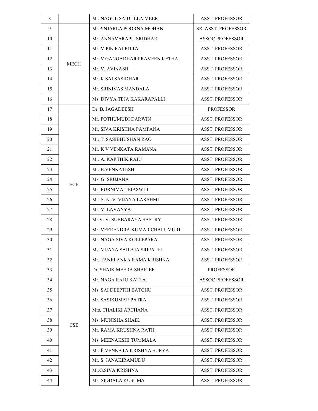| 8  |            | Mr. NAGUL SAIDULLA MEER       | <b>ASST. PROFESSOR</b> |
|----|------------|-------------------------------|------------------------|
| 9  |            | Mr.PINJARLA POORNA MOHAN      | SR. ASST. PROFESSOR    |
| 10 |            | Mr. ANNAVARAPU SRIDHAR        | <b>ASSOC PROFESSOR</b> |
| 11 |            | Mr. VIPIN RAJ PITTA           | <b>ASST. PROFESSOR</b> |
| 12 |            | Mr. V GANGADHAR PRAVEEN KETHA | <b>ASST. PROFESSOR</b> |
| 13 | MECH       | Mr. V. AVINASH                | <b>ASST. PROFESSOR</b> |
| 14 |            | Mr. K.SAI SASIDHAR            | <b>ASST. PROFESSOR</b> |
| 15 |            | Mr. SRINIVAS MANDALA          | <b>ASST. PROFESSOR</b> |
| 16 |            | Ms. DIVYA TEJA KAKARAPALLI    | <b>ASST. PROFESSOR</b> |
| 17 |            | Dr. B. JAGADEESH              | <b>PROFESSOR</b>       |
| 18 |            | Mr. POTHUMUDI DARWIN          | <b>ASST. PROFESSOR</b> |
| 19 |            | Mr. SIVA KRISHNA PAMPANA      | <b>ASST. PROFESSOR</b> |
| 20 |            | Mr. T. SASIBHUSHAN RAO        | <b>ASST. PROFESSOR</b> |
| 21 |            | Mr. K V VENKATA RAMANA        | <b>ASST. PROFESSOR</b> |
| 22 |            | Mr. A. KARTHIK RAJU           | <b>ASST. PROFESSOR</b> |
| 23 |            | Mr. B.VENKATESH               | <b>ASST. PROFESSOR</b> |
| 24 | <b>ECE</b> | Ms. G. SRUJANA                | <b>ASST. PROFESSOR</b> |
| 25 |            | Ms. PURNIMA TEJASWI T         | <b>ASST. PROFESSOR</b> |
| 26 |            | Ms. S. N. V. VIJAYA LAKSHMI   | <b>ASST. PROFESSOR</b> |
| 27 |            | Ms. V. LAVANYA                | <b>ASST. PROFESSOR</b> |
| 28 |            | Mr.V. V. SUBBARAYA SASTRY     | <b>ASST. PROFESSOR</b> |
| 29 |            | Mr. VEERENDRA KUMAR CHALUMURI | <b>ASST. PROFESSOR</b> |
| 30 |            | Mr. NAGA SIVA KOLLEPARA       | <b>ASST. PROFESSOR</b> |
| 31 |            | Ms. VIJAYA SAILAJA SRIPATHI   | <b>ASST. PROFESSOR</b> |
| 32 |            | Mr. TANELANKA RAMA KRISHNA    | <b>ASST. PROFESSOR</b> |
| 33 |            | Dr. SHAIK MEERA SHARIEF       | <b>PROFESSOR</b>       |
| 34 |            | Mr. NAGA RAJU KATTA           | <b>ASSOC PROFESSOR</b> |
| 35 |            | Ms. SAI DEEPTHI BATCHU        | <b>ASST. PROFESSOR</b> |
| 36 |            | Mr. SASIKUMAR PATRA           | <b>ASST. PROFESSOR</b> |
| 37 |            | Mrs. CHALIKI ARCHANA          | <b>ASST. PROFESSOR</b> |
| 38 | <b>CSE</b> | Ms. MUNISHA SHAIK             | <b>ASST. PROFESSOR</b> |
| 39 |            | Mr. RAMA KRUSHNA RATH         | <b>ASST. PROFESSOR</b> |
| 40 |            | Ms. MEENAKSHI TUMMALA         | <b>ASST. PROFESSOR</b> |
| 41 |            | Mr. P.VENKATA KRISHNA SURYA   | <b>ASST. PROFESSOR</b> |
| 42 |            | Mr. S. JANAKIRAMUDU           | <b>ASST. PROFESSOR</b> |
| 43 |            | Mr.G.SIVA KRISHNA             | <b>ASST. PROFESSOR</b> |
| 44 |            | Ms. SIDDALA KUSUMA            | <b>ASST. PROFESSOR</b> |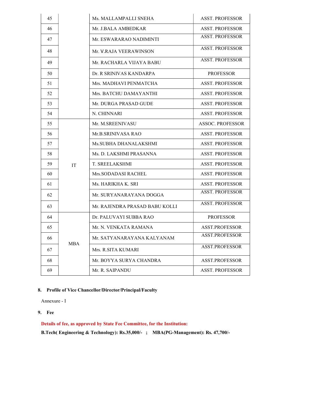| 45 |            | Ms. MALLAMPALLI SNEHA          | <b>ASST. PROFESSOR</b>  |
|----|------------|--------------------------------|-------------------------|
| 46 |            | Mr. J.BALA AMBEDKAR            | <b>ASST. PROFESSOR</b>  |
| 47 |            | Mr. ESWARARAO NADIMINTI        | <b>ASST. PROFESSOR</b>  |
| 48 |            | Mr. V.RAJA VEERAWINSON         | <b>ASST. PROFESSOR</b>  |
| 49 |            | Mr. RACHARLA VIJAYA BABU       | <b>ASST. PROFESSOR</b>  |
| 50 |            | Dr. R SRINIVAS KANDARPA        | <b>PROFESSOR</b>        |
| 51 |            | Mrs. MADHAVI PENMATCHA         | <b>ASST. PROFESSOR</b>  |
| 52 |            | Mrs. BATCHU DAMAYANTHI         | <b>ASST. PROFESSOR</b>  |
| 53 |            | Mr. DURGA PRASAD GUDE          | <b>ASST. PROFESSOR</b>  |
| 54 |            | N. CHINNARI                    | <b>ASST. PROFESSOR</b>  |
| 55 |            | Mr. M.SREENIVASU               | <b>ASSOC. PROFESSOR</b> |
| 56 |            | Mr.B.SRINIVASA RAO             | <b>ASST. PROFESSOR</b>  |
| 57 |            | Ms. SUBHA DHANALAKSHMI         | <b>ASST. PROFESSOR</b>  |
| 58 |            | Ms. D. LAKSHMI PRASANNA        | <b>ASST. PROFESSOR</b>  |
| 59 | <b>IT</b>  | <b>T. SREELAKSHMI</b>          | <b>ASST. PROFESSOR</b>  |
| 60 |            | Mrs.SODADASI RACHEL            | <b>ASST. PROFESSOR</b>  |
| 61 |            | Ms. HARIKHA K. SRI             | <b>ASST. PROFESSOR</b>  |
| 62 |            | Mr. SURYANARAYANA DOGGA        | <b>ASST. PROFESSOR</b>  |
| 63 |            | Mr. RAJENDRA PRASAD BABU KOLLI | <b>ASST. PROFESSOR</b>  |
| 64 |            | Dr. PALUVAYI SUBBA RAO         | <b>PROFESSOR</b>        |
| 65 |            | Mr. N. VENKATA RAMANA          | <b>ASST.PROFESSOR</b>   |
| 66 |            | Mr. SATYANARAYANA KALYANAM     | <b>ASST.PROFESSOR</b>   |
| 67 | <b>MBA</b> | Mrs. R.SITA KUMARI             | <b>ASST.PROFESSOR</b>   |
| 68 |            | Mr. BOYYA SURYA CHANDRA        | ASST.PROFESSOR          |
| 69 |            | Mr. R. SAIPANDU                | <b>ASST. PROFESSOR</b>  |

#### 8. Profile of Vice Chancellor/Director/Principal/Faculty

Annexure - I

#### 9. Fee

Details of fee, as approved by State Fee Committee, for the Institution:

B.Tech( Engineering & Technology): Rs.35,000/- ; MBA(PG-Management): Rs. 47,700/-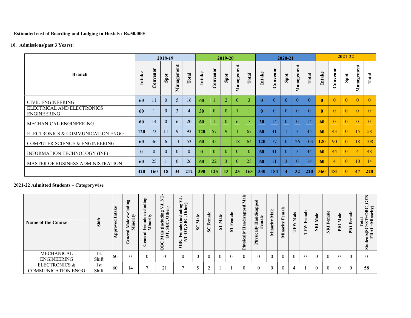Estimated cost of Boarding and Lodging in Hostels : Rs.50,000/-

10. Admissions(past 3 Years):

|                                                  |              |                               | 2018-19      |                                                         |      |                 |                                    | 2019-20        |                                     |                |     |          | 2020-21        |                                     |              |              |                | 2021-22        |                                                         |          |
|--------------------------------------------------|--------------|-------------------------------|--------------|---------------------------------------------------------|------|-----------------|------------------------------------|----------------|-------------------------------------|----------------|-----|----------|----------------|-------------------------------------|--------------|--------------|----------------|----------------|---------------------------------------------------------|----------|
| <b>Branch</b>                                    | take         | enor<br>$\sum_{i=1}^{n}$<br>ت | Spot         | $\overline{\mathbf{u}}$<br>$\bullet$<br>nagem<br>ಷ<br>Ż | otal | take            | enor<br>$\sum_{i=1}^{n}$<br>$\cup$ | Spot           | $\overline{\mathbf{u}}$<br>Manageme | <b>Total</b>   | tak | Convenor | Spot           | $\overline{\mathbf{u}}$<br>Manageme | <b>Total</b> | ntake        | onvenor        | Spot           | $\overline{\phantom{a}}$<br>$\ddot{\bullet}$<br>Managem | Total    |
| <b>CIVIL ENGINEERING</b>                         | 60           | 11                            | $\mathbf{0}$ | 5                                                       | 16   | 60              |                                    | $\overline{2}$ | $\theta$                            | 3              |     | $\theta$ | $\overline{0}$ | $\theta$                            | $\theta$     | $\mathbf{0}$ | $\theta$       | $\overline{0}$ | $\theta$                                                | $\theta$ |
| ELECTRICAL AND ELECTRONICS<br><b>ENGINEERING</b> | 60           |                               | $\theta$     | 3                                                       |      | 30 <sup>1</sup> | $\Omega$                           | $\Omega$       |                                     |                |     | $\Omega$ | $\Omega$       | $\Omega$                            | $\Omega$     | $\mathbf{0}$ | $\Omega$       | $\Omega$       | $\theta$                                                | $\Omega$ |
| MECHANICAL ENGINEERING                           | 60           | 14                            | $\theta$     | 6                                                       | 20   | 60 <sup>1</sup> |                                    | $\Omega$       | 6                                   | $\overline{7}$ | 30  | 14       | $\overline{0}$ | $\theta$                            | 14           | 60           | $\theta$       | $\theta$       | $\theta$                                                | $\theta$ |
| ELECTRONICS & COMMUNICATION ENGG                 | <b>120</b>   | 73                            | 11           | 9                                                       | 93   | 120             | 57                                 | $\mathbf Q$    |                                     | 67             | -60 | 41       |                | 3                                   | 45           | 60           | 43             | $\overline{0}$ | 15                                                      | 58       |
| <b>COMPUTER SCIENCE &amp; ENGINEERING</b>        | 60           | 36                            | 6            | 11                                                      | 53   | 60 <sup>1</sup> | 45                                 |                | 18                                  | 64             | 120 | 77       | $\theta$       | 26                                  | 103          | <b>120</b>   | 90             | $\overline{0}$ | 18                                                      | 108      |
| <b>INFORMATION TECHNOLOGY (INF)</b>              | $\mathbf{0}$ | $\theta$                      | $\theta$     | $\theta$                                                |      | $\mathbf{0}$    | $\Omega$                           | $\Omega$       | $\Omega$                            | $\theta$       | 60  | 41       | $\theta$       |                                     | 44           | 60           | 44             | $\theta$       | $\overline{4}$                                          | 48       |
| <b>MASTER OF BUSINESS ADMINISTRATION</b>         | 60           | 25                            |              | $\theta$                                                | 26   | 60              | 22                                 | 3              | $\theta$                            | 25             | -60 | 11       | 3              | $\theta$                            | 14           | 60           | $\overline{4}$ | $\overline{0}$ | <sup>10</sup>                                           | 14       |
|                                                  | 420          | <b>160</b>                    | 18           | 34                                                      | 212  | <b>390</b>      | 125                                | 13             | 25                                  | 163            | 330 | 184      | 4              | 32                                  | 220          | <b>360</b>   | <b>181</b>     | $\mathbf{0}$   | 47                                                      | 228      |

## 2021-22 Admitted Students – Categorywise

| <b>Name of the Course</b> | Shift                    | ಡ<br>Ξ<br>−<br>ರ<br>₫ď | Ρg<br>$-$<br>$\det$<br>ੱ<br>$\approx$<br>Ë<br>U | Πg<br>'ਰ<br>exclue<br>y<br>≔<br>male<br>Femal<br>Minor<br>ලී | ⊨<br>Z<br>$\overline{5}$ o<br>uding<br>Other<br>(incl <sub>)</sub><br>SBC,<br>Male<br>DT,<br>$\mathbf{r}$<br>≊<br>⊝ | ➡<br>luding<br>Other)<br>le (inclu<br>SBC, C<br>emal<br>-DT,<br>ĔΞ<br>$rac{\text{C}}{\text{N}}$ | <b>SC</b> Male | Female<br>$\mathbf{S}$ | Male<br>⊨<br>ò | Female<br>$\mathbf{S}$ | a<br>Σ<br>ರ<br>app<br>ပ<br>Handi<br>$\mathbf{H}$<br>$\approx$<br>.≌<br>$\overline{ }$<br>$\mathbf{H}$<br>$\sim$ | $\overline{c}$<br>≏<br>Handie<br>emale<br>≥⊾<br>$-1$<br>⊵<br>ᄒ | a<br>0<br>ã<br>Е<br>⋍ | emale<br>E<br>Minority | Male<br>⋗<br>È | ≗<br>$\approx$<br>Fem<br>⋗<br>E.<br>– | Male<br><b>IRK</b> | Female<br>R <sub>1</sub> | Male<br>PIO <sub></sub> | Female<br>PIO | ►<br>É<br>)።<br>አይደ<br>- 드<br>$Tota$<br>$T+ST+$<br>nts(SC<br>ERAL<br>ರ<br>5 |  |
|---------------------------|--------------------------|------------------------|-------------------------------------------------|--------------------------------------------------------------|---------------------------------------------------------------------------------------------------------------------|-------------------------------------------------------------------------------------------------|----------------|------------------------|----------------|------------------------|-----------------------------------------------------------------------------------------------------------------|----------------------------------------------------------------|-----------------------|------------------------|----------------|---------------------------------------|--------------------|--------------------------|-------------------------|---------------|-----------------------------------------------------------------------------|--|
| MECHANICAL<br>ENGINEERING | 1 <sub>st</sub><br>Shift | 60                     |                                                 |                                                              | $\Omega$                                                                                                            |                                                                                                 | $\mathbf{0}$   | $\overline{0}$         | $\theta$       |                        |                                                                                                                 |                                                                | $\theta$              |                        | $\overline{0}$ | $\overline{0}$                        | $\overline{0}$     | $\theta$                 |                         | $\theta$      |                                                                             |  |
| <b>ELECTRONICS &amp;</b>  | 1st                      |                        |                                                 |                                                              |                                                                                                                     |                                                                                                 |                | $\sim$                 |                |                        |                                                                                                                 |                                                                |                       |                        |                |                                       |                    |                          |                         |               |                                                                             |  |
| <b>COMMUNICATION ENGG</b> | Shift                    | 60                     | 14                                              |                                                              | 21                                                                                                                  |                                                                                                 | $\sim$<br>ل    | ∸                      |                |                        |                                                                                                                 | $\Omega$                                                       | $\Omega$              |                        |                |                                       |                    | $\theta$                 |                         | $\bf{0}$      | 58                                                                          |  |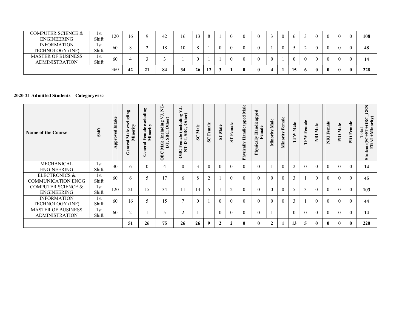| <b>COMPUTER SCIENCE &amp;</b><br>ENGINEERING       | 1st<br>Shift | 120 | 16 |    | 42 | 16  | 13 |    |          | $\theta$ |   |  | $\mathbf{6}$ |          |          |          |              |              | 108 |
|----------------------------------------------------|--------------|-----|----|----|----|-----|----|----|----------|----------|---|--|--------------|----------|----------|----------|--------------|--------------|-----|
| <b>INFORMATION</b><br>TECHNOLOGY (INF)             | 1st<br>Shift | -60 |    | ∸  | 18 | l O |    |    | $\theta$ | $\Omega$ |   |  |              |          | $\Omega$ |          |              |              | 48  |
| <b>MASTER OF BUSINESS</b><br><b>ADMINISTRATION</b> | 1st<br>Shift | -60 |    |    |    |     |    |    |          | $\Omega$ |   |  | $\Omega$     | $\theta$ | $\theta$ | $\theta$ |              |              | 14  |
|                                                    |              | 360 | 42 | 21 | 84 | 34  | 26 | 12 |          |          | 0 |  | 15           |          |          |          | $\mathbf{0}$ | $\mathbf{0}$ | 228 |

#### 2020-21 Admitted Students – Categorywise

| <b>Name of the Course</b>                             | Shift        | <b>Approved Intake</b> | <b>General Male excluding</b><br>Minority | excluding<br>Minority<br>Female<br>$\overline{a}$<br>Gener | Ė<br>$\frac{1}{2}$<br>ding<br>Other<br>Male (includ<br>DT, SBC, C<br>OBC | VJ,<br>luding<br>Other)<br>OBC Female (inclu<br>NT-DT, SBC, C | SC Male        | Female<br>SC   | Male<br>$\overline{\mathbf{L}}$ | <b>ST</b> Female | Male<br>$\overline{\phantom{a}}$<br>Physically Handicappe | Handicapped<br>emale<br>≞∝<br>Physical | Male<br>Minority | Female<br>Minority 1 | <b>TFW Male</b> | Female<br>TFW 1 | NRI Male       | <b>NRI Female</b> | Male<br>PIO  | PIO Female     | <b>GEN</b><br>ents(SC+ST+OBC_0<br>ERAL+Minority)<br>$Tota$<br>$HST+$<br>$\sin$ |
|-------------------------------------------------------|--------------|------------------------|-------------------------------------------|------------------------------------------------------------|--------------------------------------------------------------------------|---------------------------------------------------------------|----------------|----------------|---------------------------------|------------------|-----------------------------------------------------------|----------------------------------------|------------------|----------------------|-----------------|-----------------|----------------|-------------------|--------------|----------------|--------------------------------------------------------------------------------|
| MECHANICAL<br>ENGINEERING                             | 1st<br>Shift | 30                     | 6                                         | $\theta$                                                   |                                                                          | $\Omega$                                                      | $\overline{3}$ | $\overline{0}$ | $\overline{0}$                  |                  | $\theta$                                                  |                                        |                  |                      | 2               | $\overline{0}$  | $\theta$       | $\overline{0}$    |              | $\theta$       | 14                                                                             |
| <b>ELECTRONICS &amp;</b><br><b>COMMUNICATION ENGG</b> | 1st<br>Shift | 60                     | 6                                         |                                                            | 17                                                                       | $\sigma$                                                      | 8              | $\overline{2}$ |                                 |                  | $\theta$                                                  |                                        | $\overline{0}$   |                      | $\mathbf{3}$    |                 | $\theta$       | $\theta$          |              | $\theta$       | 45                                                                             |
| <b>COMPUTER SCIENCE &amp;</b><br>ENGINEERING          | 1st<br>Shift | 120                    | 21                                        | 15                                                         | 34                                                                       | 11                                                            | 14             | $\mathfrak{H}$ |                                 | $\overline{2}$   | $\theta$                                                  | $\Omega$                               | $\theta$         |                      | 5               | $\mathfrak{Z}$  | $\theta$       |                   |              | $\theta$       | 103                                                                            |
| <b>INFORMATION</b><br>TECHNOLOGY (INF)                | 1st<br>Shift | 60                     | 16                                        | 5                                                          | 15                                                                       |                                                               | $\theta$       |                | $\overline{0}$                  |                  | $\theta$                                                  | $\Omega$                               | $\overline{0}$   | $\mathbf{0}$         | $\overline{3}$  | $\overline{1}$  | $\overline{0}$ | $\mathbf{0}$      | $\theta$     | $\overline{0}$ | 44                                                                             |
| <b>MASTER OF BUSINESS</b><br><b>ADMINISTRATION</b>    | 1st<br>Shift | 60                     | $\sim$                                    |                                                            |                                                                          |                                                               |                |                | $\overline{0}$                  |                  | $\Omega$                                                  |                                        |                  |                      | $\theta$        | $\overline{0}$  | $\overline{0}$ |                   |              | $\theta$       | 14                                                                             |
|                                                       |              |                        | 51                                        | 26                                                         | 75                                                                       | 26                                                            | 26             | 9              | $\overline{2}$                  | $\overline{2}$   | $\mathbf{0}$                                              |                                        | $\overline{2}$   |                      | 13              | $5\phantom{.0}$ | $\mathbf{0}$   | $\mathbf{0}$      | $\mathbf{0}$ | $\mathbf{0}$   | 220                                                                            |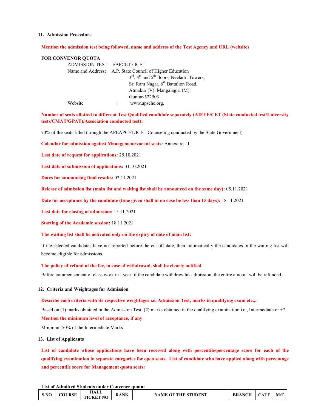#### 11. Admission Procedure

#### Mention the admission test being followed, name and address of the Test Agency and URL (website)

#### FOR CONVENOR QUOTA

ADMISSION TEST – EAPCET / ICET Name and Address: A.P. State Council of Higher Education 3<sup>rd</sup>, 4<sup>th</sup> and 5<sup>th</sup> floors, Neeladri Towers, Sri Ram Nagar, 6<sup>th</sup> Battalion Road, Atmakur (V), Mangalagiri (M), Guntur-522503 Website : www.apsche.org.

Number of seats allotted to different Test Qualified candidate separately (AIEEE/CET (State conducted test/University tests/CMAT/GPAT)/Association conducted test):

70% of the seats filled through the APEAPCET/ICET Counseling conducted by the State Government)

Calendar for admission against Management/vacant seats: Annexure - II

Last date of request for applications: 25.10.2021

Last date of submission of applications: 31.10.2021

Dates for announcing final results: 02.11.2021

Release of admission list (main list and waiting list shall be announced on the same day): 05.11.2021

Date for acceptance by the candidate (time given shall in no case be less than 15 days): 18.11.2021

Last date for closing of admission: 15.11.2021

Starting of the Academic session: 18.11.2021

#### The waiting list shall be activated only on the expiry of date of main list:

If the selected candidates have not reported before the cut off date, then automatically the candidates in the waiting list will become eligible for admissions.

#### The policy of refund of the fee, in case of withdrawal, shall be clearly notified

Before commencement of class work in I year, if the candidate withdraw his admission, the entire amount will be refunded.

#### 12. Criteria and Weightages for Admission

#### Describe each criteria with its respective weightages i.e. Admission Test, marks in qualifying exam etc.,:

Based on (1) marks obtained in the Admission Test, (2) marks obtained in the qualifying examination i.e., Intermediate or +2.

#### Mention the minimum level of acceptance, if any

Minimum 50% of the Intermediate Marks

#### 13. List of Applicants

List of candidate whose applications have been received along with percentile/percentage score for each of the qualifying examination in separate categories for open seats. List of candidate who have applied along with percentage and percentile score for Management quota seats:

#### List of Admitted Students under Convener quota:

| S.NO | <b>COURSE</b> | HALL<br><b>TICKET NO</b> | <b>RANK</b> | <b>NAME OF THE STUDENT</b> | <b>BRANCH   CATE</b> |  | M/I |
|------|---------------|--------------------------|-------------|----------------------------|----------------------|--|-----|
|------|---------------|--------------------------|-------------|----------------------------|----------------------|--|-----|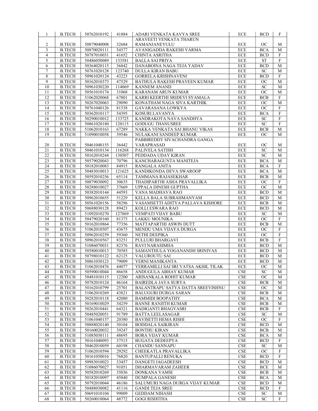| 1                                | <b>B.TECH</b>                  | 50762010192                | 41884           | ADARI VENKATA KAVYA SREE                                         | ECE                                | <b>BCD</b>               | F                          |
|----------------------------------|--------------------------------|----------------------------|-----------------|------------------------------------------------------------------|------------------------------------|--------------------------|----------------------------|
|                                  |                                |                            |                 | ARAVEETI VENKATA THARUN                                          |                                    |                          |                            |
| $\overline{c}$<br>$\mathfrak{Z}$ | <b>B.TECH</b><br><b>B.TECH</b> | 50879040008<br>50870020111 | 32684<br>54577  | RAMANJANEYULU<br>AVANIGADDA RAKESH VARMA                         | ECE<br>$\rm ECE$                   | <b>OC</b><br><b>BCA</b>  | М<br>$\mathbf M$           |
| $\overline{4}$                   | <b>B.TECH</b>                  | 50787010031                | 41652           | CHINTA ASRITHA                                                   | ECE                                | <b>BCD</b>               | $\mathbf F$                |
| 5                                | <b>B.TECH</b>                  | 50486050089                | 133581          | <b>BALLA SAI PRIYA</b>                                           | ECE                                | <b>ST</b>                | $\mathbf F$                |
| 6                                | <b>B.TECH</b>                  | 50364020115                | 36842           | DANABOINA NAGA TEJA YADAV                                        | ECE                                | <b>BCD</b>               | $\mathbf M$                |
| $\tau$                           | <b>B.TECH</b>                  | 50761020128                | 123740          | <b>DULLA KIRAN BABU</b>                                          | $ECE$                              | <b>SC</b>                | $\mathbf M$                |
| 8                                | <b>B.TECH</b>                  | 50961020124                | 43223           | <b>GORRELA KRISHNAVENI</b>                                       | ECE                                | <b>BCD</b>               | ${\bf F}$                  |
| 9                                | <b>B.TECH</b>                  | 50162010373                | 47529           | BATHULA RAKESH PRAVEEN KUMAR                                     | ECE                                | $_{\rm OC}$              | $\mathbf M$                |
| 10                               | <b>B.TECH</b>                  | 50961030220                | 114069          | <b>KANNEM ANAND</b>                                              | $\rm ECE$                          | <b>SC</b>                | M                          |
| 11                               | <b>B.TECH</b>                  | 50561010174                | 31068           | KARANAM ARUN KUMAR                                               | ECE                                | OC                       | $\mathbf M$                |
| 12                               | <b>B.TECH</b>                  | 51062020068                | 67801           | KARRI KEERTHI SRIDEVI SYAMALA                                    | ECE                                | <b>BCB</b>               | F                          |
| 13<br>14                         | <b>B.TECH</b><br><b>B.TECH</b> | 50267020063<br>50761040126 | 29090<br>81538  | KONATHAM NAGA SIVA KARTHIK                                       | ECE<br>ECE                         | OC<br>OC                 | $\mathbf M$<br>${\bf F}$   |
| 15                               | <b>B.TECH</b>                  | 50362010117                | 54395           | GAVARASANA LOWKYA<br>KOSURI LAVANYA                              | ECE                                | <b>BCA</b>               | $\mathbf F$                |
| 16                               | <b>B.TECH</b>                  | 50290010012                | 133725          | KANDRAKOTA NAVA SANDHYA                                          | $\rm ECE$                          | <b>SC</b>                | $\overline{F}$             |
| 17                               | <b>B.TECH</b>                  | 50861020180                | 120115          | <b>GODUGU THANUSREE</b>                                          | $\rm ECE$                          | <b>SC</b>                | $\mathbf F$                |
| 18                               | <b>B.TECH</b>                  | 51062010163                | 67289           | NAKKA VENKATA SAI BHANU VIKAS                                    | ECE                                | <b>BCB</b>               | $\mathbf M$                |
| 19                               | <b>B.TECH</b>                  | 51090010058                | 39546           | NULAKANI SANDEEP KUMAR                                           | ECE                                | <b>OC</b>                | M                          |
|                                  |                                |                            |                 | PABBIREDDY SIVACHANDRA GANGA                                     |                                    |                          |                            |
| 20                               | <b>B.TECH</b>                  | 50461040155                | 36442           | VARAPRASAD                                                       | ECE                                | <b>OC</b>                | M                          |
| $\overline{21}$                  | <b>B.TECH</b>                  | 50461010134                | 116268          | PALIVELA SATISH                                                  | ECE                                | SC                       | M                          |
| 22                               | <b>B.TECH</b>                  | 50162010244                | 130507          | PEDDADA UDAY KIRAN                                               | $\rm ECE$                          | SC                       | M                          |
| 23                               | <b>B.TECH</b>                  | 50579020043                | 70796           | KANCHARAGUNTA MANITEJA                                           | ECE                                | <b>BCA</b>               | M                          |
| 24<br>25                         | <b>B.TECH</b><br><b>B.TECH</b> | 50182010083<br>50483010013 | 84915<br>121625 | RANGALA ANITA<br>KANDIKONDA DEVA SWAROOP                         | ECE<br>$\rm ECE$                   | <b>BCA</b><br><b>BCA</b> | F<br>$\mathbf M$           |
| $\overline{26}$                  | <b>B.TECH</b>                  | 50592010256                | 65114           | TAMMANA RAJASEKHAR                                               | ECE                                | <b>BCB</b>               | $\mathbf M$                |
| 27                               | <b>B.TECH</b>                  | 50879030092                | 30635           | THADIPARTHI ASHA PRAVALLIKA                                      | ECE                                | <b>OC</b>                | F                          |
| 28                               | <b>B.TECH</b>                  | 50288010027                | 37669           | UPPALA DINESH GUPTHA                                             | $\rm ECE$                          | OC                       | $\mathbf M$                |
| 29                               | <b>B.TECH</b>                  | 50382010144                | 44593           | VANA MADHAVA RAO                                                 | $\rm ECE$                          | <b>BCD</b>               | M                          |
| 30                               | <b>B.TECH</b>                  | 50962010655                | 51229           | KELLA BALA SUBRAHMANYAM                                          | $\rm ECE$                          | <b>BCD</b>               | $\mathbf M$                |
| $31\,$                           | <b>B.TECH</b>                  | 50561020156                | 58296           | VASAMSETTI ADITYA PALLAVA KISHORE                                | $ECE$                              | <b>BCB</b>               | M                          |
| 32                               | <b>B.TECH</b>                  | 50688030128                | 89423           | KOLLI ESWARA RAO                                                 | ECE                                | <b>BCD</b>               | $\mathbf M$                |
| $\overline{33}$                  | <b>B.TECH</b>                  | 51092010270                | 127869          | VEMPATI VIJAY BABU                                               | $\rm ECE$                          | ${\rm SC}$               | $\mathbf M$                |
| 34                               | <b>B.TECH</b>                  | 50479020160                | 81375           | LAKKU MOUNIKA                                                    | ECE                                | <b>OC</b>                | F                          |
| 35<br>36                         | <b>B.TECH</b><br><b>B.TECH</b> | 50162010864<br>51062010507 | 77356<br>43675  | MATTAPARTHI ASWIN DUTT<br>MENDU UMA VIJAYA DURGA                 | $\rm ECE$<br>ECE                   | <b>BCB</b><br>OC         | $\mathbf M$<br>$\mathbf F$ |
| 37                               | <b>B.TECH</b>                  | 50962010259                | 59360           | NETHI DEEPIKA                                                    | ECE                                | <b>OC</b>                | $\rm F$                    |
| 38                               | <b>B.TECH</b>                  | 50962010567                | 83251           | PULLURI BHARGAVI                                                 | ECE                                | <b>BCB</b>               | ${\bf F}$                  |
| 39                               | <b>B.TECH</b>                  | 51086070031                | 82376           | <b>RAVI NARASIMHA</b>                                            | $\rm ECE$                          | <b>BCD</b>               | M                          |
| 40                               | <b>B.TECH</b>                  | 50580010013                | 70585           | SAMANTHULA YOGANANDH SRINIVAS                                    | ECE                                | <b>BCD</b>               | $\mathbf M$                |
| 41                               | <b>B.TECH</b>                  | 50798010122                | 62125           | VALUROUTU SAI                                                    | ECE                                | <b>BCD</b>               | $\mathbf M$                |
| 42                               | <b>B.TECH</b>                  | 50861030123                | 79009           | YERNI MANIKANTA                                                  | ECE                                | <b>BCD</b>               | M                          |
| 43                               | <b>B.TECH</b>                  | 51062010476                | 44077           | YERRAMILLI SAI SRI VATSA AKHIL TILAK                             | ECE                                | ОC                       | M                          |
| 44                               | <b>B.TECH</b>                  | 50590010044                | 86658           | ANDUGULA ABHAY KUMAR                                             | CSE                                | <b>SC</b>                | М                          |
| 45                               | <b>B.TECH</b>                  | 50481010115                | 12200           | ARISANKALA ROHIT KUMAR                                           | CSE                                | OC                       | М                          |
| 46                               | <b>B.TECH</b>                  | 50782010124                | 46164           | BAIREDLA JAYA SURYA                                              | <b>CSE</b>                         | <b>BCB</b>               | M                          |
| 47<br>48                         | <b>B.TECH</b><br><b>B.TECH</b> | 50162010799<br>51062010269 | 25701<br>43821  | BALANTRAPU SATYA DATTA SREEVISHNU<br><b>BALUGURI DURGA SARAN</b> | $\ensuremath{\mathsf{CSE}}$<br>CSE | <b>OC</b><br><b>BCB</b>  | М<br>М                     |
| 49                               | <b>B.TECH</b>                  | 50282010118                | 42080           | <b>BAMMIDI BOOPATHY</b>                                          | CSE                                | <b>BCA</b>               | М                          |
| 50                               | <b>B.TECH</b>                  | 50169010029                | 34259           | <b>BANNE RANJITH KUMAR</b>                                       | $\ensuremath{\mathsf{CSE}}$        | <b>BCB</b>               | М                          |
| $\overline{51}$                  | <b>B.TECH</b>                  | 50262010441                | 64321           | <b>BADIGANTI BHAGYASRI</b>                                       | CSE                                | <b>BCB</b>               | F                          |
| 52                               | <b>B.TECH</b>                  | 50485020051                | 91789           | <b>BATTA LEELASAGAR</b>                                          | $\ensuremath{\mathsf{CSE}}$        | SC                       | M                          |
| 53                               | <b>B.TECH</b>                  | 51061040157                | 20380           | BAVISETTI HEMA RISHI                                             | <b>CSE</b>                         | <b>OC</b>                | F                          |
| 54                               | <b>B.TECH</b>                  | 50888020140                | 30104           | <b>BODDALA SAIKIRAN</b>                                          | $\ensuremath{\mathsf{CSE}}$        | <b>BCD</b>               | М                          |
| 55                               | <b>B.TECH</b>                  | 50160020032                | 39247           | <b>BONTHU KIRAN</b>                                              | CSE                                | <b>BCB</b>               | М                          |
| 56                               | <b>B.TECH</b>                  | 51085030111                | 48695           | <b>BORA VIJAY KUMAR</b>                                          | <b>CSE</b>                         | <b>BCA</b>               | М                          |
| 57<br>58                         | <b>B.TECH</b>                  | 50161040093                | 37515           | <b>BUGATA DEDEEPYA</b>                                           | $\ensuremath{\mathsf{CSE}}$<br>CSE | <b>BCD</b>               | F                          |
| 59                               | <b>B.TECH</b><br><b>B.TECH</b> | 50462010059<br>51062010594 | 60198<br>29292  | CHANDU SANNAPU<br>CHEEKATLA PRAVALLIKA                           | CSE                                | SC<br>OC                 | М<br>$\overline{F}$        |
| 60                               | <b>B.TECH</b>                  | 50161050016                | 76820           | <b>BANTUPALLI RENUKA</b>                                         | $\ensuremath{\mathsf{CSE}}$        | <b>BCD</b>               | F                          |
| 61                               | <b>B.TECH</b>                  | 50983010023                | 33457           | DANGETI JAGADEESH                                                | CSE                                | <b>BCD</b>               | М                          |
| 62                               | <b>B.TECH</b>                  | 51086070027                | 91051           | DHARMAVARAM ZAHEER                                               | CSE                                | <b>BCE</b>               | М                          |
| 63                               | <b>B.TECH</b>                  | 50582010269                | 35036           | DONKANA VAMSI                                                    | CSE                                | <b>BCB</b>               | М                          |
| 64                               | <b>B.TECH</b>                  | 50182010097                | 45840           | <b>DUMPALA GANESH</b>                                            | $\ensuremath{\mathsf{CSE}}$        | <b>BCA</b>               | М                          |
|                                  |                                |                            |                 |                                                                  |                                    |                          |                            |
| 65                               | <b>B.TECH</b>                  | 50792010044                | 46186           | SALUMURI NAGA DURGA VIJAY KUMAR                                  | CSE                                | <b>BCD</b>               | М                          |
| 66                               | <b>B.TECH</b>                  | 50488030082                | 41116           | <b>GANDI TEJA SREE</b>                                           | <b>CSE</b>                         | <b>BCD</b>               | F                          |
| 67<br>68                         | <b>B.TECH</b><br><b>B.TECH</b> | 50691010104<br>50260010064 | 99009<br>48772  | <b>GEDDAM NIHASH</b><br><b>GOGI RISHITHA</b>                     | $\ensuremath{\mathsf{CSE}}$<br>CSE | <b>SC</b><br>${\rm SC}$  | М<br>F                     |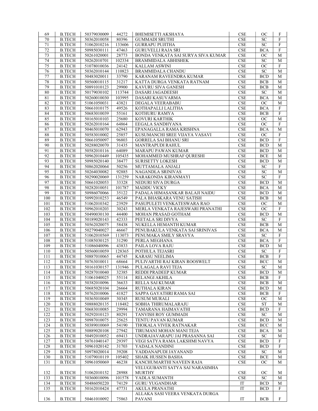| 69         | <b>B.TECH</b>                  | 50379030009                | 44272           | <b>BHEMISETTI AKSHAYA</b>                                | CSE                                | <b>OC</b>                | F            |
|------------|--------------------------------|----------------------------|-----------------|----------------------------------------------------------|------------------------------------|--------------------------|--------------|
| 70         | <b>B.TECH</b>                  | 50362010058                | 80396           | <b>GUMMADI SRUTHI</b>                                    | $\ensuremath{\mathsf{CSE}}$        | ${\rm SC}$               | ${\bf F}$    |
| 71         | <b>B.TECH</b>                  | 51062010216                | 133606          | <b>GURRAPU PUJITHA</b>                                   | CSE                                | <b>SC</b>                | $\mathbf{F}$ |
| 72         | <b>B.TECH</b>                  | 50985030111                | 47463           | <b>GURUVELLI RAJA SRI</b>                                | CSE                                | <b>BCA</b>               | $\mathbf F$  |
| 73         | <b>B.TECH</b>                  | 50261020001                | 28773           | BONDA VENKATA SAI SURYA SIVA KUMAR                       | <b>CSE</b>                         | <b>OC</b>                | M            |
| 74         | <b>B.TECH</b>                  | 50262010701                | 102334          | BRAMMIDALA ABHISHEK                                      | CSE                                | SC                       | $\mathbf M$  |
| $75\,$     | <b>B.TECH</b>                  | 51078010036                | 24142           | <b>KALLAM ASWINI</b>                                     | $\ensuremath{\mathsf{CSE}}$        | $OC$                     | $\mathbf F$  |
| 76         | <b>B.TECH</b>                  | 50362010144                | 110823          | <b>BRAMMIDALA CHANDU</b>                                 | CSE                                | SC                       | $\mathbf M$  |
| 77         | <b>B.TECH</b>                  | 50483020011                | 33790           | KARANAM RAVEENDRA KUMAR                                  | <b>CSE</b>                         | <b>BCD</b>               | M            |
| 78         | <b>B.TECH</b>                  | 50560010115                | 31217           | KATTA DURGA VENKATA RATNAM                               | CSE                                | <b>BCB</b>               | М            |
| 79         | <b>B.TECH</b>                  | 50891010123                | 29900           | KAVURU SIVA GANESH                                       | CSE                                | <b>BCB</b>               | $\mathbf M$  |
| 80         | <b>B.TECH</b>                  | 50179030102                | 113744          | DASARI JAGADEESH                                         | $\ensuremath{\mathsf{CSE}}$        | ${\rm SC}$               | $\mathbf M$  |
| 81         | <b>B.TECH</b>                  | 50260010030                | 103995          | DASARI KASUVARMA                                         | $\ensuremath{\mathsf{CSE}}$        | <b>BCA</b>               | $\mathbf M$  |
| 82         | <b>B.TECH</b>                  | 51061050031                | 43821           | DEGALA VEERABABU                                         | CSE                                | <b>OC</b>                | M            |
| 83         | <b>B.TECH</b>                  | 50661010175                | 49526           | KOTHAPALLI LALITHA                                       | CSE                                | <b>BCA</b>               | $\rm F$      |
| 84         | <b>B.TECH</b>                  | 50683010039                | 55161           | KOTHURU RAMYA                                            | CSE                                | <b>BCB</b>               | $\rm F$      |
| 85         | <b>B.TECH</b>                  | 50165010103                | 25680           | KOVURI KARTHIK                                           | $\ensuremath{\mathsf{CSE}}$        | OC                       | $\mathbf M$  |
| 86         | <b>B.TECH</b>                  | 50262010164                | 64864           | EEGALA SANDHYANA                                         | CSE                                | <b>OC</b>                | $\rm F$      |
| 87         | <b>B.TECH</b>                  | 50465010070                | 62943           | EPANAGALLA RAMA KRISHNA                                  | CSE                                | <b>BCA</b>               | $\mathbf M$  |
| $\bf 88$   | <b>B.TECH</b>                  | 50583010002                | 25857           | KUSUMANCHI SREE VIJAYA VASAVI                            | $\ensuremath{\mathsf{CSE}}$        | OC                       | $\mathbf F$  |
| 89         | <b>B.TECH</b>                  | 50661050097                | 96803           | <b>GORRELA SAI BHANU SRI</b>                             | <b>CSE</b>                         | <b>BCD</b>               | $\rm F$      |
| 90         | <b>B.TECH</b>                  | 50288020070                | 31435           | MANTRAPUDI RAHUL                                         | $\ensuremath{\mathsf{CSE}}$        | <b>BCD</b>               | M            |
| 91         | <b>B.TECH</b>                  | 50582010116                | 64089           | MARAPU PAWAN KUMAR                                       | CSE                                | <b>BCD</b>               | $\mathbf M$  |
| 92         | B.TECH                         | 50962010449                | 105435          | MOHAMMED MUSHRAF QURESHI                                 | CSE                                | <b>BCE</b>               | M            |
| 93         | <b>B.TECH</b>                  | 50985020140                | 38477           | <b>SURISETTY LOKESH</b>                                  | $\ensuremath{\mathsf{CSE}}$        | <b>BCD</b>               | M            |
| 94         | <b>B.TECH</b>                  | 50862020064                | 50256           | MUTTAMALA ANJALI                                         | CSE                                | ${\rm SC}$               | $\mathbf F$  |
| 95         | <b>B.TECH</b>                  | 50264030082                | 92885           | NAGANDLA SRINIVAS                                        | CSE                                | <b>SC</b>                | $\mathbf M$  |
| 96         | <b>B.TECH</b>                  | 50290020069                | 131259          | NARAKONDA KIRANMAYI                                      | CSE                                | SC                       | $\mathbf F$  |
| 97         | <b>B.TECH</b>                  | 50661020053                | 33328           | NEDURI SIVA DURGA                                        | <b>CSE</b>                         | <b>BCD</b>               | $\mathbf M$  |
| 98<br>99   | <b>B.TECH</b><br><b>B.TECH</b> | 50282010051<br>50986070066 | 101787<br>35122 | <b>MADDU VICKY</b><br>PADALA HIMASANKAR BALAJI NAIDU     | $\ensuremath{\mathsf{CSE}}$<br>CSE | <b>BCA</b><br><b>BCD</b> | М<br>M       |
| 100        | <b>B.TECH</b>                  | 50992010253                | 46549           | PALA BHASKARA VENU SATISH                                | CSE                                | <b>BCB</b>               | $\mathbf M$  |
| 101        | <b>B.TECH</b>                  | 51062010342                | 23929           | PASUPULETI VENKATESWARA RAO                              | CSE                                | <b>OC</b>                | $\mathbf M$  |
| 102        | <b>B.TECH</b>                  | 50962010203                | 30243           | MERLA VENKATA RAJESWARI PRANATHI                         | CSE                                | <b>OC</b>                | $\mathbf F$  |
| 103        | <b>B.TECH</b>                  | 50490030130                | 44400           | MOHAN PRASAD GOTHAM                                      | CSE                                | <b>BCD</b>               | M            |
| 104        | <b>B.TECH</b>                  | 50189020143                | 42333           | PEETALA SRI DIVYA                                        | CSE                                | <b>SC</b>                | $\rm F$      |
| 105        | <b>B.TECH</b>                  | 50562020075                | 58438           | NUKELLA HEMANTH KUMAR                                    | CSE                                | <b>BCB</b>               | M            |
| 106        | <b>B.TECH</b>                  | 50279040027                | 46667           | PENUBAKULA VENKATA SAI SRINIVAS                          | CSE                                | <b>BCA</b>               | M            |
| 107        | <b>B.TECH</b>                  | 51062010569                | 113073          | PENUMAKA SMILY SRAVYA                                    | $\ensuremath{\mathsf{CSE}}$        | ${\rm SC}$               | $\mathbf F$  |
| 108        | <b>B.TECH</b>                  | 51085030125                | 31290           | PERLA MEGHANA                                            | $\ensuremath{\mathsf{CSE}}$        | <b>BCA</b>               | $\mathbf F$  |
| 109        | <b>B.TECH</b>                  | 51086040096                | 43833           | PAILA LOVA RAJU                                          | CSE                                | <b>BCD</b>               | $\mathbf M$  |
| 110        | <b>B.TECH</b>                  | 50560010059                | 128365          | POTHULA TEJASRI                                          | CSE                                | <b>SC</b>                | $\mathbf{F}$ |
| 111        | <b>B.TECH</b>                  | 50887010065                | 44745           | <b>KARASU NEELIMA</b>                                    | CSE                                | <b>BCB</b>               | $\mathbf F$  |
| 112        | <b>B.TECH</b>                  | 50763010011                | 68664           | PULIVARTHI RAJ KIRAN ROOSWELT                            | <b>CSE</b>                         | <b>BCC</b>               | M            |
| 113        | <b>B.TECH</b>                  | 50161030157                | 131946          | PULAGALA RAVI TEJA                                       | CSE                                | SC                       | M            |
| 114        | <b>B.TECH</b>                  | 50287010040                | 32385           | REDDI PRADEEP KUMAR                                      | CSE                                | <b>BCD</b>               | М            |
| 115        | <b>B.TECH</b>                  | 51061040025                | 55114           | RELANGI AKHILA                                           | $\ensuremath{\mathsf{CSE}}$        | <b>BCB</b>               | F            |
| 116<br>117 | <b>B.TECH</b>                  | 50382010096                | 36633           | RELLA SAI KUMAR                                          | CSE<br>CSE                         | <b>BCB</b><br><b>BCD</b> | М            |
| 118        | <b>B.TECH</b><br><b>B.TECH</b> | 50685020104<br>50762010006 | 26664<br>41827  | RUTHALA KIRAN<br>SAPPA GAYATHRI RAMA SAI                 | CSE                                | <b>BCB</b>               | М<br>F       |
| 119        | <b>B.TECH</b>                  | 50365010049                | 30345           | <b>RUSUM MURALI</b>                                      | CSE                                | <b>OC</b>                | М            |
| 120        | <b>B.TECH</b>                  | 50888020135                | 118482          | SOBHA THIRUMALARAJU                                      | $\ensuremath{\mathsf{CSE}}$        | <b>ST</b>                | М            |
| 121        | <b>B.TECH</b>                  | 50683010085                | 29994           | TAMARANA HAIMAVATHI                                      | $\ensuremath{\mathsf{CSE}}$        | <b>BCD</b>               | F            |
| 122        | B.TECH                         | 50292010123                | 80291           | TANVISH ROY GUMMADI                                      | CSE                                | <b>SC</b>                | М            |
| 123        | <b>B.TECH</b>                  | 50987010075                | 25625           | TENTU PAVAN KUMAR                                        | $\ensuremath{\mathsf{CSE}}$        | <b>BCD</b>               | М            |
| 124        | <b>B.TECH</b>                  | 50389010069                | 54190           | THOKALA VIVEK RATNAKAR                                   | $\ensuremath{\mathsf{CSE}}$        | <b>BCC</b>               | M            |
| 125        | <b>B.TECH</b>                  | 50889020108                | 27942           | TIRUMANI MOHAN MANI TEJA                                 | $\ensuremath{\mathsf{CSE}}$        | <b>BCA</b>               | М            |
| 126        | <b>B.TECH</b>                  | 50492010052                | 69413           | UNDRAJAVARAPU JAI PRASANNA SAI                           | CSE                                | <b>SC</b>                | М            |
| 127        | <b>B.TECH</b>                  | 50761040147                | 29397           | VEGI SATYA RAMA LAKSHMI NAVYA                            | CSE                                | <b>BCD</b>               | F            |
| 128        | <b>B.TECH</b>                  | 50961020142                | 31703           | YADALA NANDINI                                           | $\ensuremath{\mathsf{CSE}}$        | <b>BCD</b>               | F            |
| 129        | <b>B.TECH</b>                  | 50978020014                | 39208           | YADDANAPUDI JAYANAND                                     | CSE                                | <b>SC</b>                | M            |
| 130        | <b>B.TECH</b>                  | 51079010119                | 105402          | SHAIK HUSSEN BASHA                                       | CSE                                | <b>BCE</b>               | М            |
| 131        | <b>B.TECH</b>                  | 50961050069                | 46238           | KANCHUMARTHI NAVEEN RAJA                                 | CSE                                | <b>OC</b>                | М            |
|            |                                |                            |                 | VELUGUBANTI SATYA SAI NARASIMHA                          |                                    |                          |              |
| 132        | <b>B.TECH</b>                  | 51062010152                | 28988           | <b>MURTHY</b>                                            | $\ensuremath{\mathsf{CSE}}$        | OС                       | М            |
| 133        | <b>B.TECH</b>                  | 50360010096                | 101578          | YADLA SUMANTH                                            | CSE                                | <b>SC</b>                | M            |
| 134        | <b>B.TECH</b>                  | 50486050220                | 74129           | <b>GURU YUGANDHAR</b>                                    | $\operatorname{IT}$<br>IT          | <b>BCD</b>               | М<br>F       |
| 135        | <b>B.TECH</b>                  | 50162010424                | 47731           | <b>AKULA PRANATHI</b><br>ALLAKA SASI VEERA VENKATA DURGA |                                    | <b>BCD</b>               |              |
| 136        | <b>B.TECH</b>                  | 50461010092                | 75863           | <b>PAVANI</b>                                            | IT                                 | <b>BCB</b>               | F            |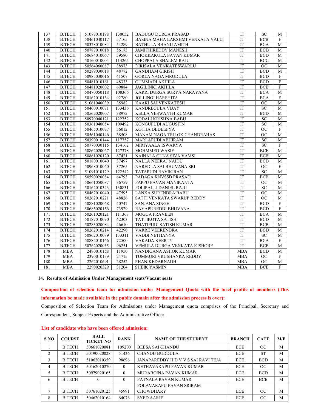| 137              | <b>B.TECH</b> | 51077010198 | 130052 | <b>BADUGU DURGA PRASAD</b>        | IT                     | SC.             | М              |
|------------------|---------------|-------------|--------|-----------------------------------|------------------------|-----------------|----------------|
| 138              | <b>B.TECH</b> | 50461040117 | 57165  | BASINA MAHA LAKSHMI VENKATA VALLI | IT                     | BCB             | $\rm F$        |
| 139              | <b>B.TECH</b> | 50378010084 | 54289  | <b>BATHULA BHANU AMITH</b>        | $\operatorname{IT}$    | <b>BCA</b>      | $\mathbf M$    |
| 140              | <b>B.TECH</b> | 50787010018 | 56173  | <b>JAMITHIREDDY MANESH</b>        | IT                     | <b>BCD</b>      | М              |
| 141              | <b>B.TECH</b> | 50684010067 | 39580  | CHOKKAKULA PAVAN KUMAR            | $\overline{\text{IT}}$ | <b>BCD</b>      | M              |
| 142              | <b>B.TECH</b> | 50160010004 | 114265 | CHOPPALA SHALEM RAJU              | $\operatorname{IT}$    | <b>BCC</b>      | M              |
| 143              | <b>B.TECH</b> | 50564060087 | 38973  | DIRISALA VENKATESWARLU            | IT                     | OC              | M              |
| 144              | <b>B.TECH</b> | 50289030018 | 48772  | <b>GANDHAM GIRISH</b>             | $\overline{\text{IT}}$ | <b>BCD</b>      | M              |
| $\overline{145}$ | <b>B.TECH</b> | 50985030016 | 41507  | <b>GORLA NAGA MRUDULA</b>         | $\operatorname{IT}$    | <b>BCD</b>      | $\rm F$        |
| 146              | <b>B.TECH</b> | 50481010161 | 48333  | <b>GUMMADI AKHILA</b>             | IT                     | <b>BCD</b>      | $\mathbf{F}$   |
| 147              | <b>B.TECH</b> | 50481020002 | 69884  | JAGILINKI AKHILA                  | IT                     | <b>BCB</b>      | $\mathbf F$    |
| 148              | <b>B.TECH</b> | 50470050118 | 108366 | KARRI DURGA SURYA NARAYANA        | $\operatorname{IT}$    | <b>BCA</b>      | M              |
| 149              | <b>B.TECH</b> | 50162010134 | 92780  | <b>JOLLINGI HARSHITA</b>          | IT                     | <b>BCA</b>      | $\mathbf F$    |
| 150              | <b>B.TECH</b> | 51061040039 | 35982  | KAAKI SAI VENKATESH               | IT                     | <b>OC</b>       | $\mathbf M$    |
| 151              | <b>B.TECH</b> | 50460010071 | 133436 | KANDREGULA VIJAY                  | $\operatorname{IT}$    | SC              | M              |
| 152              | <b>B.TECH</b> | 50562020007 | 38972  | KELLA YESWANTH KUMAR              | IT                     | <b>BCD</b>      | M              |
| 153              | <b>B.TECH</b> | 50970040121 | 122752 | KODALI KRISHNA BABU               | IT                     | ${\rm SC}$      | M              |
| 154              | <b>B.TECH</b> | 50361040054 | 109492 | KONGUPUDI AUGUSTIN                | $\operatorname{IT}$    | ${\rm SC}$      | M              |
| 155              | <b>B.TECH</b> | 50465010077 | 36012  | KOTHA DEDEEPYA                    | IT                     | OC              | F              |
| 156              | <b>B.TECH</b> | 50561040146 | 38508  | MANAM NAGA TRILOK CHANDRAHAS      | IT                     | <b>OC</b>       | $\mathbf M$    |
| 157              | <b>B.TECH</b> | 50390010144 | 117757 | MARLAPUDI ABHIRAM                 | $\overline{\text{IT}}$ | SC              | $\mathbf M$    |
| 158              | <b>B.TECH</b> | 50770030115 | 134162 | MIRIYAALA ISWARYA                 | $\overline{\text{IT}}$ | <b>SC</b>       | $\rm F$        |
| 159              | <b>B.TECH</b> | 50862020067 | 127378 | <b>MOHMMED WASIF</b>              | IT                     | <b>BCE</b>      | $\mathbf M$    |
| 160              | <b>B.TECH</b> | 50861020120 | 67421  | NAINALA GUNA SIVA VAMSI           | $\overline{\text{IT}}$ | BCB             | М              |
| 161              | <b>B.TECH</b> | 50180010040 | 37497  | NALLA NEERAJ NAIDU                | IT                     | <b>BCD</b>      | M              |
| 162              | <b>B.TECH</b> | 50968010060 | 37265  | NAREDLA SAI BHUVANA SRI           | $\operatorname{IT}$    | <b>OC</b>       | $\mathbf F$    |
| 163              | <b>B.TECH</b> | 51091010129 | 122542 | TATAPUDI RAVIKIRAN                | IT                     | <b>SC</b>       | М              |
| 164              | <b>B.TECH</b> | 50590020084 | 64793  | PADAGA KNVSSD PRASAD              | $\overline{\text{IT}}$ | BCB             | M              |
| 165              | <b>B.TECH</b> | 50661050087 | 36759  | PAPPU PAVAN MANIKANTA             | IT                     | <b>OC</b>       | $\mathbf M$    |
| 166              | <b>B.TECH</b> | 50162010343 | 130831 | POLIPALLI DANIEL RAJU             | IT                     | <b>SC</b>       | М              |
| 167              | <b>B.TECH</b> | 50462010040 | 47595  | LANKA SURENDRA BABU               | $\overline{\text{IT}}$ | $\overline{OC}$ | $\mathbf M$    |
| 168              | <b>B.TECH</b> | 50262010221 | 48826  | SATTI VENKATA SWARUP REDDY        | IT                     | OC              | $\mathbf M$    |
| 169              | <b>B.TECH</b> | 50881020068 | 40747  | SANJANA SINGH                     | IT                     | <b>BCD</b>      | F              |
| 170              | <b>B.TECH</b> | 50685020156 | 73929  | RAYAPUREDDI BHUVANA               | $\operatorname{IT}$    | <b>BCD</b>      | $\overline{F}$ |
| 171              | <b>B.TECH</b> | 50261020121 | 111367 | <b>MOGGA PRAVEEN</b>              | IT                     | BCA             | $\mathbf{M}$   |
| 172              | <b>B.TECH</b> | 50187010090 | 42303  | <b>TATTIKOTA SATISH</b>           | IT                     | <b>BCD</b>      | M              |
| 173              | <b>B.TECH</b> | 50283020084 | 46610  | THATIPUDI SATISH KUMAR            | $\overline{\text{IT}}$ | <b>BCB</b>      | $\mathbf M$    |
| 174              | <b>B.TECH</b> | 50262010214 | 42290  | VARRE VEERENDRA                   | $\operatorname{IT}$    | <b>BCD</b>      | $\mathbf M$    |
| 175              | <b>B.TECH</b> | 50862010089 | 133311 | VADDI NETHANYA                    | IT                     | <b>SC</b>       | М              |
| 176              | <b>B.TECH</b> | 50882010166 | 72500  | VAKADA KEERTY                     | $\overline{\text{IT}}$ | <b>BCA</b>      | $\overline{F}$ |
| 177              | <b>B.TECH</b> | 50762020035 | 96251  | VEMULA DURGA VENKATA KISHORE      | IT                     | <b>BCB</b>      | $\mathbf M$    |
| 178              | <b>MBA</b>    | 2480010158  | 11950  | NANDIGANA ASHOK KUMAR             | <b>MBA</b>             | <b>BCD</b>      | $\mathbf M$    |
| 179              | <b>MBA</b>    | 2390010139  | 24715  | TUMMURI VRUSHANKA REDDY           | <b>MBA</b>             | $\overline{OC}$ | $\overline{F}$ |
| 180              | <b>MBA</b>    | 2262010691  | 28252  | PHANIKEDARNADH                    | <b>MBA</b>             | OC              | $\mathbf M$    |
| 181              | <b>MBA</b>    | 2290020329  | 31204  | <b>SHEIK YASMIN</b>               | <b>MBA</b>             | <b>BCE</b>      | F              |

#### 14. Results of Admission Under Management seats/Vacant seats

Composition of selection team for admission under Management Quota with the brief profile of members (This information be made available in the public domain after the admission process is over): Composition of Selection Team for Admissions under Management quota comprises of the Principal, Secretary and Correspondent, Subject Experts and the Administrative Officer.

| S.NO           | <b>COURSE</b> | HALL<br><b>TICKET NO</b> | <b>RANK</b> | <b>NAME OF THE STUDENT</b>          | <b>BRANCH</b> | <b>CATE</b> | M/F |
|----------------|---------------|--------------------------|-------------|-------------------------------------|---------------|-------------|-----|
|                | <b>B.TECH</b> | 50661020081              | 109200      | <b>BEESA SAI CHANDU</b>             | <b>ECE</b>    | OC          | M   |
| $\mathfrak{D}$ | <b>B.TECH</b> | 50190020028              | 51436       | <b>CHANDU BUDDULA</b>               | ECE           | <b>ST</b>   | M   |
| $\mathcal{E}$  | <b>B.TECH</b> | 51062010359              | 98696       | JANAPAREDDY H D V V S SAI RAVI TEJA | <b>ECE</b>    | <b>BCD</b>  | M   |
| 4              | <b>B.TECH</b> | 50162010270              | $\Omega$    | KETHAVARAPU PAVAN KUMAR             | <b>ECE</b>    | OC          | M   |
| 5              | <b>B.TECH</b> | 50979020165              | $\Omega$    | MURABOINA PAVAN KUMAR               | <b>ECE</b>    | <b>BCD</b>  | M   |
| 6              | <b>B.TECH</b> | 0                        | $\Omega$    | PATNALA PAVAN KUMAR                 | <b>ECE</b>    | <b>BCB</b>  | M   |
|                |               |                          |             | POLAVARAPU PAVAN SRIRAM             |               |             |     |
|                | <b>B.TECH</b> | 50761020125              | 45991       | <b>CHOWDHARY</b>                    | <b>ECE</b>    | OC          | M   |
| 8              | <b>B.TECH</b> | 50462010164              | 64076       | <b>SYED AARIF</b>                   | <b>ECE</b>    | OC          | M   |

#### List of candidate who have been offered admission: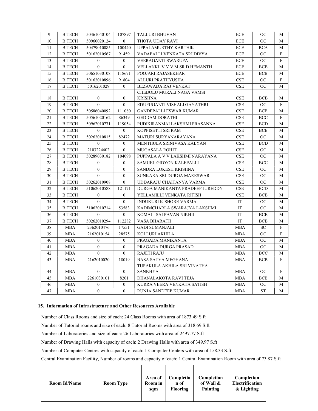| 9  | <b>B.TECH</b> | 50461040104      | 107897           | <b>TALLURI BHUVAN</b>           | ECE        | <b>OC</b>            | М            |
|----|---------------|------------------|------------------|---------------------------------|------------|----------------------|--------------|
| 10 | <b>B.TECH</b> | 50960020124      | $\theta$         | THOTA UDAY RAVI                 | ECE        | <b>OC</b>            | М            |
| 11 | <b>B.TECH</b> | 50479010085      | 100440           | UPPALAMURTHY KARTHIK            | ECE        | <b>BCA</b>           | M            |
| 12 | <b>B.TECH</b> | 50162010567      | 91459            | VADAPALLI VENKATA SRI DIVYA     | ECE        | <b>OC</b>            | F            |
| 13 | <b>B.TECH</b> | $\mathbf{0}$     | $\mathbf{0}$     | VEERAGANTI SWARUPA              | ECE        | OC                   | F            |
| 14 | <b>B.TECH</b> | $\overline{0}$   | $\boldsymbol{0}$ | VELLANKI V V V M SR D HEMANTH   | ECE        | <b>BCB</b>           | М            |
| 15 | <b>B.TECH</b> | 50651030108      | 118671           | POOJARI RAJASEKHAR              | ECE        | <b>BCB</b>           | М            |
| 16 | <b>B.TECH</b> | 50162010896      | 91804            | ALLURI PRATHYUSHA               | CSE        | OC                   | $\rm F$      |
| 17 | <b>B.TECH</b> | 5016201029       | $\theta$         | BEZAWADA RAJ VENKAT             | CSE        | <b>OC</b>            | М            |
|    |               |                  |                  | CHEBOLU MURALI NAGA VAMSI       |            |                      |              |
| 18 | <b>B.TECH</b> | $\boldsymbol{0}$ | $\boldsymbol{0}$ | <b>KRISHNA</b>                  | CSE        | <b>BCB</b>           | М            |
| 19 | <b>B.TECH</b> | $\theta$         | $\Omega$         | EDUPUGANTI VISHALI GAYATHRI     | CSE        | OC                   | F            |
| 20 | <b>B.TECH</b> | 50586040092      | 111080           | <b>GANDEPALLI ESWAR KUMAR</b>   | CSE        | <b>BCB</b>           | M            |
| 21 | <b>B.TECH</b> | 50561020162      | 86349            | <b>GEDDAM DORATHI</b>           | CSE        | <b>BCC</b>           | F            |
| 22 | <b>B.TECH</b> | 50962010771      | 119054           | PUDIKIRANMAI LAKSHMI PRASANNA   | <b>CSE</b> | <b>BCD</b>           | M            |
| 23 | <b>B.TECH</b> | $\mathbf{0}$     | $\overline{0}$   | KOPPISETTI SRI RAM              | CSE        | <b>BCB</b>           | M            |
| 24 | <b>B.TECH</b> | 50262010815      | 82472            | MATURI SURYANARAYANA            | CSE        | OC                   | М            |
| 25 | <b>B.TECH</b> | $\mathbf{0}$     | $\mathbf{0}$     | MENTHULA SRINIVASA KALYAN       | CSE        | $\operatorname{BCD}$ | M            |
| 26 | <b>B.TECH</b> | 2103224402       | $\theta$         | <b>MUGASALA ROHIT</b>           | CSE        | OC                   | M            |
| 27 | <b>B.TECH</b> | 50289030182      | 104098           | PUPPALA A V V LAKSHMI NARAYANA  | CSE        | OC                   | M            |
| 28 | <b>B.TECH</b> | $\theta$         | $\mathbf{0}$     | SAMUEL GIDYON KALEPALLI         | CSE        | <b>BCC</b>           | M            |
| 29 | <b>B.TECH</b> | $\mathbf{0}$     | $\mathbf{0}$     | SANDRA LOKESH KRISHNA           | CSE        | OC                   | М            |
| 30 | <b>B.TECH</b> | $\overline{0}$   | $\overline{0}$   | SUNKARA SRI DURGA MARESWAR      | CSE        | <b>OC</b>            | М            |
| 31 | <b>B.TECH</b> | 50262010908      | $\theta$         | UDDARAJU CHAITANYA VARMA        | CSE        | <b>OC</b>            | M            |
| 32 | <b>B.TECH</b> | 51062010588      | 121171           | DURGA MANIKANTA PRADEEP JUREDDY | CSE        | <b>BCD</b>           | М            |
| 33 | <b>B.TECH</b> | $\boldsymbol{0}$ | $\mathbf{0}$     | YELLAMILLI VENKATA RITISH       | CSE        | <b>BCB</b>           | М            |
| 34 | <b>B.TECH</b> | $\Omega$         | $\boldsymbol{0}$ | <b>INDUKURI KISHORE VARMA</b>   | IT         | <b>OC</b>            | М            |
| 35 | <b>B.TECH</b> | 51062010714      | 53583            | KADIMCHARLA SWARAJYA LAKSHMI    | IT         | OC                   | М            |
| 36 | <b>B.TECH</b> | $\mathbf{0}$     | $\overline{0}$   | KOMALI SAI PAVAN NIKHIL         | IT         | <b>BCB</b>           | М            |
| 37 | <b>B.TECH</b> | 50262010294      | 112282           | VASA BHARATH                    | <b>IT</b>  | <b>BCB</b>           | M            |
| 38 | <b>MBA</b>    | 2362010476       | 17551            | <b>GADI SUMANJALI</b>           | <b>MBA</b> | <b>SC</b>            | $\mathbf{F}$ |
| 39 | <b>MBA</b>    | 2162010154       | 28575            | KOLLURI AKHILA                  | <b>MBA</b> | <b>OC</b>            | F            |
| 40 | <b>MBA</b>    | $\mathbf{0}$     | $\boldsymbol{0}$ | PRAGADA MANIKANTA               | <b>MBA</b> | <b>OC</b>            | M            |
| 41 | <b>MBA</b>    | $\mathbf{0}$     | $\mathbf{0}$     | PRAGADA DURGA PRASAD            | MBA        | OC                   | М            |
| 42 | MBA           | $\mathbf{0}$     | $\overline{0}$   | <b>RAJETI RAJU</b>              | MBA        | <b>BCC</b>           | М            |
| 43 | <b>MBA</b>    | 2162010020       | 18019            | <b>BASA SATYA MEGHANA</b>       | <b>MBA</b> | <b>BCB</b>           | F            |
|    |               |                  |                  | TUPAKULA AKHILA SRI VINATHA     |            |                      |              |
| 44 | <b>MBA</b>    | $\boldsymbol{0}$ | $\mathbf{0}$     | <b>SANKHYA</b>                  | <b>MBA</b> | <b>OC</b>            | F            |
| 45 | MBA           | 2261030101       | 8201             | DHANALAKOTA RAVI TEJA           | MBA        | <b>BCB</b>           | М            |
| 46 | <b>MBA</b>    | $\mathbf{0}$     | $\mathbf{0}$     | KURRA VEERA VENKATA SATISH      | <b>MBA</b> | <b>OC</b>            | М            |
| 47 | <b>MBA</b>    | $\overline{0}$   | $\theta$         | RUNJA SANDEEP KUMAR             | <b>MBA</b> | <b>ST</b>            | M            |

#### 15. Information of Infrastructure and Other Resources Available

Number of Class Rooms and size of each: 24 Class Rooms with area of 1873.49 S.ft

Number of Tutorial rooms and size of each: 8 Tutorial Rooms with area of 318.69 S.ft

Number of Laboratories and size of each: 26 Laboratories with area of 2497.77 S.ft

Number of Drawing Halls with capacity of each: 2 Drawing Halls with area of 349.97 S.ft

Number of Computer Centres with capacity of each: 1 Computer Centers with area of 158.33 S.ft

Central Examination Facility, Number of rooms and capacity of each: 1 Central Examination Room with area of 73.87 S.ft

| <b>Room Id/Name</b><br><b>Room Type</b> | Area of<br>Room in<br>sqm | Completio<br>n of<br><b>Flooring</b> | Completion<br>of Wall &<br>Painting | Completion<br><b>Electrification</b><br>& Lighting |
|-----------------------------------------|---------------------------|--------------------------------------|-------------------------------------|----------------------------------------------------|
|-----------------------------------------|---------------------------|--------------------------------------|-------------------------------------|----------------------------------------------------|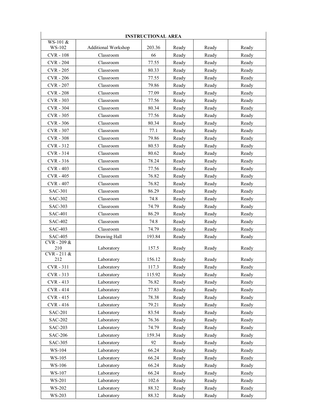|                                  | <b>INSTRUCTIONAL AREA</b>  |                 |                |                |       |  |
|----------------------------------|----------------------------|-----------------|----------------|----------------|-------|--|
| WS-101 &<br>WS-102               | <b>Additional Workshop</b> | 203.36          | Ready          | Ready          | Ready |  |
| <b>CVR</b> - 108                 | Classroom                  | 66              | Ready          | Ready          | Ready |  |
| <b>CVR-204</b>                   | Classroom                  | 77.55           | Ready          | Ready          | Ready |  |
| <b>CVR</b> - 205                 | Classroom                  | 80.33           | Ready          | Ready          | Ready |  |
| <b>CVR</b> - 206                 | Classroom                  | 77.55           | Ready          | Ready          | Ready |  |
| <b>CVR-207</b>                   | Classroom                  | 79.86           | Ready          | Ready          | Ready |  |
| <b>CVR-208</b>                   | Classroom                  | 77.09           | Ready          | Ready          | Ready |  |
| <b>CVR - 303</b>                 | Classroom                  | 77.56           | Ready          | Ready          | Ready |  |
| <b>CVR - 304</b>                 | Classroom                  | 80.34           | Ready          | Ready          | Ready |  |
| <b>CVR - 305</b>                 | Classroom                  | 77.56           | Ready          | Ready          | Ready |  |
| <b>CVR - 306</b>                 | Classroom                  | 80.34           | Ready          | Ready          | Ready |  |
| <b>CVR-307</b>                   | Classroom                  | 77.1            | Ready          | Ready          | Ready |  |
| <b>CVR - 308</b>                 | Classroom                  | 79.86           | Ready          | Ready          | Ready |  |
| CVR-312                          | Classroom                  | 80.53           | Ready          | Ready          | Ready |  |
| $CVR - 314$                      | Classroom                  | 80.62           | Ready          | Ready          | Ready |  |
| $CVR - 316$                      | Classroom                  | 78.24           | Ready          | Ready          | Ready |  |
| <b>CVR-403</b>                   | Classroom                  | 77.56           | Ready          | Ready          | Ready |  |
| <b>CVR - 405</b>                 | Classroom                  | 76.82           | Ready          | Ready          | Ready |  |
| <b>CVR - 407</b>                 | Classroom                  | 76.82           | Ready          | Ready          | Ready |  |
| <b>SAC-301</b>                   | Classroom                  | 86.29           | Ready          | Ready          | Ready |  |
| <b>SAC-302</b>                   | Classroom                  | 74.8            | Ready          | Ready          | Ready |  |
| <b>SAC-303</b>                   | Classroom                  | 74.79           | Ready          | Ready          | Ready |  |
| <b>SAC-401</b>                   | Classroom                  | 86.29           | Ready          | Ready          | Ready |  |
| <b>SAC-402</b>                   | Classroom                  | 74.8            | Ready          | Ready          | Ready |  |
| <b>SAC-403</b>                   | Classroom                  |                 |                |                |       |  |
| <b>SAC-405</b>                   | Drawing Hall               | 74.79<br>193.84 | Ready<br>Ready | Ready<br>Ready | Ready |  |
| CVR-209&                         |                            |                 |                |                | Ready |  |
| 210                              | Laboratory                 | 157.5           | Ready          | Ready          | Ready |  |
| $CVR - 211 \overline{\&}$<br>212 | Laboratory                 | 156.12          | Ready          | Ready          | Ready |  |
| CVR-311                          | Laboratory                 | 117.3           | Ready          | Ready          | Ready |  |
| CVR-313                          | Laboratory                 | 115.92          | Ready          | Ready          | Ready |  |
| CVR-413                          | Laboratory                 | 76.82           | Ready          | Ready          | Ready |  |
| <b>CVR-414</b>                   | Laboratory                 | 77.83           | Ready          | Ready          | Ready |  |
| CVR-415                          | Laboratory                 | 78.38           | Ready          | Ready          | Ready |  |
| <b>CVR-416</b>                   | Laboratory                 | 79.21           | Ready          | Ready          | Ready |  |
| <b>SAC-201</b>                   | Laboratory                 | 83.54           | Ready          | Ready          | Ready |  |
| <b>SAC-202</b>                   | Laboratory                 | 76.36           | Ready          | Ready          | Ready |  |
| <b>SAC-203</b>                   | Laboratory                 | 74.79           | Ready          | Ready          | Ready |  |
| <b>SAC-206</b>                   | Laboratory                 | 159.34          | Ready          | Ready          | Ready |  |
| <b>SAC-305</b>                   | Laboratory                 | 92              | Ready          | Ready          | Ready |  |
| WS-104                           | Laboratory                 | 66.24           | Ready          | Ready          | Ready |  |
| WS-105                           | Laboratory                 | 66.24           | Ready          | Ready          | Ready |  |
| WS-106                           | Laboratory                 | 66.24           | Ready          | Ready          | Ready |  |
| WS-107                           | Laboratory                 | 66.24           | Ready          | Ready          | Ready |  |
| WS-201                           | Laboratory                 | 102.6           | Ready          | Ready          | Ready |  |
| WS-202                           | Laboratory                 | 88.32           | Ready          | Ready          | Ready |  |
| WS-203                           | Laboratory                 | 88.32           | Ready          | Ready          | Ready |  |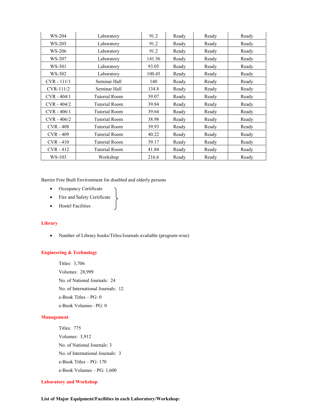| WS-204        | Laboratory           | 91.2   | Ready | Ready | Ready |
|---------------|----------------------|--------|-------|-------|-------|
| WS-205        | Laboratory           | 91.2   | Ready | Ready | Ready |
| WS-206        | Laboratory           | 91.2   | Ready | Ready | Ready |
| WS-207        | Laboratory           | 141.36 | Ready | Ready | Ready |
| WS-301        | Laboratory           | 93.05  | Ready | Ready | Ready |
| WS-302        | Laboratory           | 100.45 | Ready | Ready | Ready |
| $CVR - 111/1$ | Seminar Hall         | 140    | Ready | Ready | Ready |
| $CVR-111/2$   | Seminar Hall         | 134.8  | Ready | Ready | Ready |
| $CVR - 404/1$ | <b>Tutorial Room</b> | 39.07  | Ready | Ready | Ready |
| $CVR - 404/2$ | Tutorial Room        | 39.84  | Ready | Ready | Ready |
| $CVR - 406/1$ | Tutorial Room        | 39.64  | Ready | Ready | Ready |
| $CVR - 406/2$ | <b>Tutorial Room</b> | 38.98  | Ready | Ready | Ready |
| $CVR - 408$   | <b>Tutorial Room</b> | 39.93  | Ready | Ready | Ready |
| $CVR - 409$   | Tutorial Room        | 40.22  | Ready | Ready | Ready |
| $CVR - 410$   | Tutorial Room        | 39.17  | Ready | Ready | Ready |
| $CVR - 412$   | Tutorial Room        | 41.84  | Ready | Ready | Ready |
| $WS-103$      | Workshop             | 216.6  | Ready | Ready | Ready |

Barrier Free Built Environment for disabled and elderly persons

- Occupancy Certificate
- Fire and Safety Certificate
- **•** Hostel Facilities

#### **Library**

Number of Library books/Titles/Journals available (program-wise)

#### Engineering & Technology

Titles: 3,706 Volumes: 28,999 No. of National Journals: 24 No. of International Journals: 12 e-Book Titles – PG: 0 e-Book Volumes– PG: 0

#### Management

Titles: 775 Volumes: 3,912 No. of National Journals: 3 No. of International Journals: 3 e-Book Titles – PG: 170 e-Book Volumes – PG: 1,600

#### Laboratory and Workshop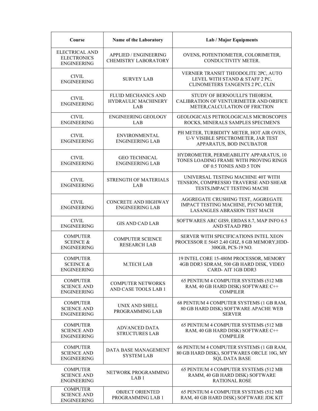| Course                                                            | Name of the Laboratory                                   | <b>Lab / Major Equipments</b>                                                                                     |  |  |
|-------------------------------------------------------------------|----------------------------------------------------------|-------------------------------------------------------------------------------------------------------------------|--|--|
| <b>ELECTRICAL AND</b><br><b>ELECTRONICS</b><br><b>ENGINEERING</b> | APPLIED / ENGINEERING<br><b>CHEMISTRY LABORATORY</b>     | OVENS, POTENTIOMETER, COLORIMETER,<br>CONDUCTIVITY METER.                                                         |  |  |
| <b>CIVIL</b><br><b>ENGINEERING</b>                                | <b>SURVEY LAB</b>                                        | VERNIER TRANSIT THEODOLITE 2PC, AUTO<br>LEVEL WITH STAND & STAFF 2 PC,<br>CLINOMETERS TANGENTS 2 PC, CLIN         |  |  |
| <b>CIVIL</b><br><b>ENGINEERING</b>                                | <b>FLUID MECHANICS AND</b><br>HYDRAULIC MACHINERY<br>LAB | STUDY OF BERNOULLI'S THEOREM,<br>CALIBRATION OF VENTURIMETER AND ORIFICE<br>METER, CALCULATION OF FRICTION        |  |  |
| <b>CIVIL</b><br><b>ENGINEERING</b>                                | <b>ENGINEERING GEOLOGY</b><br>LAB                        | GEOLOGICALS PETROLOGICALS MICROSCOPES<br>ROCKS, MINERALS SAMPLES SPECIMEN'S                                       |  |  |
| <b>CIVIL</b><br><b>ENGINEERING</b>                                | <b>ENVIRONMENTAL</b><br><b>ENGINEERING LAB</b>           | PH METER, TURBIDITY METER, HOT AIR OVEN,<br>U-V VISIBLE SPECTROMETER, JAR TEST<br>APPARATUS, BOD INCUBATOR        |  |  |
| <b>CIVIL</b><br><b>ENGINEERING</b>                                | <b>GEO TECHNICAL</b><br><b>ENGINEERING LAB</b>           | HYDROMETER, PERMEABILITY APPARATUS, 10<br>TONES LOADING FRAME WITH PROVING RINGS<br>OF 0.5 TONES AND 5 TON        |  |  |
| <b>CIVIL</b><br><b>ENGINEERING</b>                                | STRENGTH OF MATERIALS<br>LAB                             | UNIVERSAL TESTING MACHINE 40T WITH<br>TENSION, COMPRESSIO TRAVERSE AND SHEAR<br>TESTS, IMPACT TESTING MACHI       |  |  |
| <b>CIVIL</b><br><b>ENGINEERING</b>                                | <b>CONCRETE AND HIGHWAY</b><br><b>ENGINEERING LAB</b>    | AGGREGATE CRUSHING TEST, AGGREGATE<br>IMPACT TESTING MACHINE, PYCNO METER,<br><b>LASANGLES ABRASION TEST MACH</b> |  |  |
| <b>CIVIL</b><br><b>ENGINEERING</b>                                | <b>GIS AND CAD LAB</b>                                   | SOFTWARES ARC GIS9, ERDAS 8.7, MAP INFO 6.5<br>AND STAAD PRO                                                      |  |  |
| <b>COMPUTER</b><br><b>SCEINCE &amp;</b><br><b>ENGINEERING</b>     | <b>COMPUTER SCIENCE</b><br><b>RESEARCH LAB</b>           | SERVER WITH SPECIFICATIONS INTEL XEON<br>PROCESSOR E 5645 2.40 GHZ, 8 GB MEMORY, HDD-<br>300GB, PCS-19 NO.        |  |  |
| <b>COMPUTER</b><br><b>SCEINCE &amp;</b><br><b>ENGINEERING</b>     | <b>M.TECH LAB</b>                                        | 19 INTEL CORE 15-480M PROCESSOR, MEMORY<br>4GB DDR3 SDRAM, 500 GB HARD DISK, VIDEO<br>CARD- AIT 1GB DDR3          |  |  |
| <b>COMPUTER</b><br><b>SCIENCE AND</b><br><b>ENGINEERING</b>       | <b>COMPUTER NETWORKS</b><br>AND CASE TOOLS LAB 1         | 65 PENTIUM 4 COMPUTER SYSTEMS (512 MB<br>RAM, 40 GB HARD DISK) SOFTWARE C++<br><b>COMPILER</b>                    |  |  |
| <b>COMPUTER</b><br><b>SCIENCE AND</b><br><b>ENGINEERING</b>       | UNIX AND SHELL<br>PROGRAMMING LAB                        | 68 PENTIUM 4 COMPUTER SYSTEMS (1 GB RAM,<br>80 GB HARD DISK) SOFTWARE APACHE WEB<br><b>SERVER</b>                 |  |  |
| <b>COMPUTER</b><br><b>SCIENCE AND</b><br><b>ENGINEERING</b>       | <b>ADVANCED DATA</b><br><b>STRUCTURES LAB</b>            | 65 PENTIUM 4 COMPUTER SYSTEMS (512 MB<br>RAM, 40 GB HARD DISK) SOFTWARE C++<br><b>COMPILER</b>                    |  |  |
| <b>COMPUTER</b><br><b>SCIENCE AND</b><br><b>ENGINEERING</b>       | DATA BASE MANAGEMENT<br><b>SYSTEM LAB</b>                | 66 PENTIUM 4 COMPUTER SYSTEMS (1 GB RAM,<br>80 GB HARD DISK), SOFTWARES ORCLE 10G, MY<br><b>SQL DATA BASE</b>     |  |  |
| <b>COMPUTER</b><br><b>SCIENCE AND</b><br><b>ENGINEERING</b>       | NETWORK PROGRAMMING<br>LAB <sub>1</sub>                  | 65 PENTIUM 4 COMPUTER SYSTEMS (512 MB<br>RAMM, 40 GB HARD DISK) SOFTWARE<br><b>RATIONAL ROSE</b>                  |  |  |
| <b>COMPUTER</b><br><b>SCIENCE AND</b><br><b>ENGINEERING</b>       | <b>OBJECT ORIENTED</b><br>PROGRAMMING LAB 1              | 65 PENTIUM 4 COMPUTER SYSTEMS (512 MB<br>RAM, 40 GB HARD DISK) SOFTWARE JDK KIT                                   |  |  |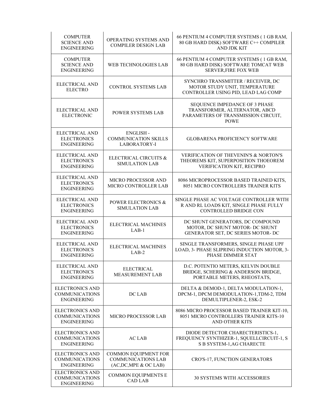| <b>COMPUTER</b><br><b>SCIENCE AND</b><br><b>ENGINEERING</b>           | OPERATING SYSTEMS AND<br><b>COMPILER DESIGN LAB</b>                              | 66 PENTIUM 4 COMPUTER SYSTEMS (1 GB RAM,<br>80 GB HARD DISK) SOFTWARE C++ COMPILER<br>AND JDK KIT                     |
|-----------------------------------------------------------------------|----------------------------------------------------------------------------------|-----------------------------------------------------------------------------------------------------------------------|
| <b>COMPUTER</b><br><b>SCIENCE AND</b><br><b>ENGINEERING</b>           | <b>WEB TECHNOLOGIES LAB</b>                                                      | 66 PENTIUM 4 COMPUTER SYSTEMS (1 GB RAM,<br>80 GB HARD DISK) SOFTWARE TOMCAT WEB<br><b>SERVER, FIRE FOX WEB</b>       |
| <b>ELECTRICAL AND</b><br><b>ELECTRO</b>                               | <b>CONTROL SYSTEMS LAB</b>                                                       | SYNCHRO TRANSMITTER / RECEIVER, DC<br>MOTOR STUDY UNIT, TEMPERATURE<br>CONTROLLER USING PID, LEAD LAG COMP            |
| <b>ELECTRICAL AND</b><br><b>ELECTRONIC</b>                            | <b>POWER SYSTEMS LAB</b>                                                         | SEQUENCE IMPEDANCE OF 3 PHASE<br>TRANSFORMER, ALTERNATOR, ABCD<br>PARAMETERS OF TRANSMISSION CIRCUIT,<br><b>POWE</b>  |
| ELECTRICAL AND<br><b>ELECTRONICS</b><br><b>ENGINEERING</b>            | <b>ENGLISH-</b><br><b>COMMUNICATION SKILLS</b><br>LABORATORY-I                   | <b>GLOBARENA PROFICIENCY SOFTWARE</b>                                                                                 |
| <b>ELECTRICAL AND</b><br><b>ELECTRONICS</b><br><b>ENGINEERING</b>     | ELECTRICAL CIRCUITS &<br><b>SIMULATION LAB</b>                                   | <b>VERIFICATION OF THEVENIN'S &amp; NORTON'S</b><br>THEOREMS KIT, SUPERPOSITION THOEOREM<br>VERIFICATION KIT, RECIPRO |
| <b>ELECTRICAL AND</b><br><b>ELECTRONICS</b><br><b>ENGINEERING</b>     | <b>MICRO PROCESSOR AND</b><br>MICRO CONTROLLER LAB                               | 8086 MICROPROCESSOR BASED TRAINED KITS,<br>8051 MICRO CONTROLLERS TRAINER KITS                                        |
| <b>ELECTRICAL AND</b><br><b>ELECTRONICS</b><br><b>ENGINEERING</b>     | <b>POWER ELECTRONICS &amp;</b><br><b>SIMULATION LAB</b>                          | SINGLE PHASE AC VOLTAGE CONTROLLER WITH<br>R AND RL LOADS KIT, SINGLE PHASE FULLY<br><b>CONTROLLED BRIDGE CON</b>     |
| <b>ELECTRICAL AND</b><br><b>ELECTRONICS</b><br><b>ENGINEERING</b>     | ELECTRICAL MACHINES<br>$LAB-1$                                                   | DC SHUNT GENERATORS, DC COMPOUND<br>MOTOR, DC SHUNT MOTOR- DC SHUNT<br>GENERATOR SET, DC SERIES MOTOR- DC             |
| ELECTRICAL AND<br><b>ELECTRONICS</b><br><b>ENGINEERING</b>            | ELECTRICAL MACHINES<br>$LAB-2$                                                   | SINGLE TRANSFORMERS, SINGLE PHASE UPF<br>LOAD, 3- PHASE SLIPRING INDUCTION MOTOR, 3-<br>PHASE DIMMER STAT             |
| <b>ELECTRICAL AND</b><br><b>ELECTRONICS</b><br><b>ENGINEERING</b>     | <b>ELECTRICAL</b><br><b>MEASUREMENT LAB</b>                                      | D.C. POTENTIO METERS, KELVIN DOUBLE<br>BRIDGE, SCHERING & ANDERSON BRIDGE,<br>PORTABLE METERS, RHEOSTATS,             |
| <b>ELECTRONICS AND</b><br><b>COMMUNICATIONS</b><br><b>ENGINEERING</b> | DC LAB                                                                           | DELTA & DEMOD-1, DELTA MODULATION-1,<br>DPCM-1, DPCM DEMODULATION-1,TDM-2, TDM<br>DEMULTIPLENER-2, ESK-2              |
| <b>ELECTRONICS AND</b><br><b>COMMUNICATIONS</b><br><b>ENGINEERING</b> | MICRO PROCESSOR LAB                                                              | 8086 MICRO PROCESSOR BASED TRAINER KIT-10,<br>8051 MICRO CONTROLLERS TRAINER KITS-10<br><b>AND OTHER KITS</b>         |
| <b>ELECTRONICS AND</b><br><b>COMMUNICATIONS</b><br><b>ENGINEERING</b> | <b>AC LAB</b>                                                                    | DIODE DETECTOR CHARECTERISTICS-1,<br>FREQUENCY SYNTHIZER-1, SQUELLCIRCUIT-1, S<br>S B SYSTEM-1, AG CHARECTE           |
| <b>ELECTRONICS AND</b><br><b>COMMUNICATIONS</b><br><b>ENGINEERING</b> | <b>COMMON EQUIPMENT FOR</b><br><b>COMMUNICATIONS LAB</b><br>(AC,DC,MPE & OC LAB) | CRO'S-17, FUNCTION GENERATORS                                                                                         |
| <b>ELECTRONICS AND</b><br><b>COMMUNICATIONS</b><br><b>ENGINEERING</b> | <b>COMMON EQUIPMENTS E</b><br><b>CAD LAB</b>                                     | <b>30 SYSTEMS WITH ACCESSORIES</b>                                                                                    |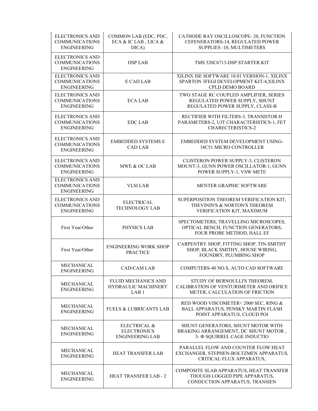| <b>ELECTRONICS AND</b><br><b>COMMUNICATIONS</b><br><b>ENGINEERING</b> | COMMON LAB (EDC, PDC,<br>ECA & IC LAB, LICA &<br>DICA)         | CATHODE RAY OSCILLOSCOPE-20, FUNCTION<br>CEFENERATORS-14, REGULATED POWER<br>SUPPLIES -10, MULTIMETERS         |  |  |
|-----------------------------------------------------------------------|----------------------------------------------------------------|----------------------------------------------------------------------------------------------------------------|--|--|
| <b>ELECTRONICS AND</b><br><b>COMMUNICATIONS</b><br><b>ENGINEERING</b> | <b>DSP LAB</b>                                                 | TMS 320C6713-DSP STARTER KIT                                                                                   |  |  |
| <b>ELECTRONICS AND</b><br><b>COMMUNICATIONS</b><br><b>ENGINEERING</b> | E CAD LAB                                                      | XILINX ISE SOFTWARE 10.01 VERSION-1, XILINX<br>SPARTON 3FEGI DEVELOPMENT KIT-4,XILINX<br>CPLD DEMO BOARD       |  |  |
| <b>ELECTRONICS AND</b><br><b>COMMUNICATIONS</b><br><b>ENGINEERING</b> | <b>ECA LAB</b>                                                 | TWO STAGE RC COUPLED AMPLIFIER, SERIES<br>REGULATED POWER SUPPLY, SHUNT<br>REGULATED POWER SUPPLY, CLASS-B     |  |  |
| <b>ELECTRONICS AND</b><br><b>COMMUNICATIONS</b><br><b>ENGINEERING</b> | <b>EDC LAB</b>                                                 | RECTIFIER WITH FILTERS-3, TRANSISTOR H<br>PARAMETERS-2, UJT CHARACTERISTICS-1, FET<br><b>CHARECTERISTICS-2</b> |  |  |
| <b>ELECTRONICS AND</b><br><b>COMMUNICATIONS</b><br><b>ENGINEERING</b> | <b>EMBEDDED SYSTEMS E</b><br><b>CAD LAB</b>                    | EMBEDDED SYSTEM DEVELOPMENT USING-<br>18C51 MICRO CONTROLLER                                                   |  |  |
| <b>ELECTRONICS AND</b><br><b>COMMUNICATIONS</b><br><b>ENGINEERING</b> | MWE & OC LAB                                                   | CLISTERON POWER SUPPLY-3, CLISTERON<br>MOUNT-3, GUNN POWER OSCILLATOR-1, GUNN<br>POWER SUPPLY-1, VSW METE      |  |  |
| <b>ELECTRONICS AND</b><br><b>COMMUNICATIONS</b><br><b>ENGINEERING</b> | <b>VLSI LAB</b>                                                | MENTER GRAPHIC SOFTWARE                                                                                        |  |  |
| <b>ELECTRONICS AND</b><br><b>COMMUNICATIONS</b><br><b>ENGINEERING</b> | <b>ELECTRICAL</b><br><b>TECHNOLOGY LAB</b>                     | SUPERPOSITION THEOREM VERIFICATION KIT,<br>THEVININ'S & NORTON'S THEOREM<br>VERIFICATION KIT, MAXIMUM          |  |  |
| First Year/Other                                                      | PHYSICS LAB                                                    | SPECTOMETERS, TRAVELLING MICROSCOPES,<br>OPTICAL BENCH, FUNCTION GENERATORS,<br>FOUR PROBE METHOD, HALL EF     |  |  |
| First Year/Other                                                      | <b>ENGINEERING WORK SHOP</b><br><b>PRACTICE</b>                | CARPENTRY SHOP, FITTING SHOP, TIN-SMITHY<br>SHOP, BLACK SMITHY, HOUSE WIRING,<br>FOUNDRY, PLUMBING SHOP        |  |  |
| MECHANICAL<br><b>ENGINEERING</b>                                      | <b>CAD/CAM LAB</b>                                             | COMPUTERS-40 NO.S, AUTO CAD SOFTWARE                                                                           |  |  |
| <b>MECHANICAL</b><br><b>ENGINEERING</b>                               | FLUID MECHANICS AND<br>HYDRAULIC MACHINERY<br>LAB <sub>1</sub> | STUDY OF BERNOULLI'S THEOREM,<br>CALIBRATION OF VENTURIMETER AND ORIFICE<br>METER, CALCULATION OF FRICTION     |  |  |
| <b>MECHANICAL</b><br><b>ENGINEERING</b>                               | <b>FUELS &amp; LUBRICANTS LAB</b>                              | RED WOOD VISCOMETER<2000 SEC, RING &<br>BALL APPARATUS, PENSKY MARTIN FLASH<br>POINT APPARATUS, CLOUD POI      |  |  |
| MECHANICAL<br><b>ENGINEERING</b>                                      | ELECTRICAL &<br><b>ELECTRONICS</b><br><b>ENGINEERING LAB</b>   | SHUNT GENERATORS, SHUNT MOTOR WITH<br>BRAKING ARRANGEMENT, DC SHUNT MOTOR,<br>3- Φ SQUIRREL CAGE INDUCTIO      |  |  |
| MECHANICAL<br><b>ENGINEERING</b>                                      | HEAT TRANSFER LAB                                              | PARALLEL FLOW AND COUNTER FLOW HEAT<br>EXCHANGER, STEPHEN-BOLTZMEN APPARATUS,<br>CRITICAL FLUX APPARATUS,      |  |  |
| <b>MECHANICAL</b><br><b>ENGINEERING</b>                               | <b>HEAT TRANSFER LAB - 2</b>                                   | COMPOSITE SLAB APPARATUS, HEAT TRANSFER<br>THOUGH LOGGED PIPE APPARATUS,<br>CONDUCTION APPARATUS, TRANSIEN     |  |  |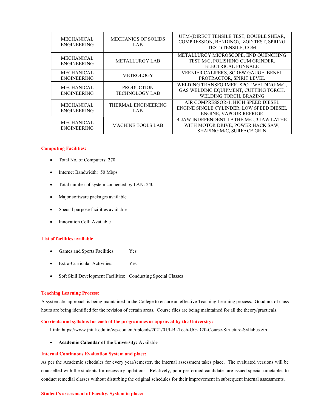| <b>MECHANICAL</b><br><b>ENGINEERING</b> | <b>MECHANICS OF SOLIDS</b><br>LAB.         | UTM-(DIRECT TENSILE TEST, DOUBLE SHEAR,<br>COMPRESSION, BENDING), IZOD TEST, SPRING<br>TEST-(TENSILE, COM        |
|-----------------------------------------|--------------------------------------------|------------------------------------------------------------------------------------------------------------------|
| <b>MECHANICAL</b><br><b>ENGINEERING</b> | <b>METALLURGY LAB</b>                      | METALLURGY MICROSCOPE, END QUENCHING<br>TEST M/C, POLISHING CUM GRINDER,<br><b>ELECTRICAL FUNNALE</b>            |
| <b>MECHANICAL</b><br><b>ENGINEERING</b> | <b>METROLOGY</b>                           | VERNIER CALIPERS, SCREW GAUGE, BENEL<br>PROTRACTOR, SPIRIT LEVEL                                                 |
| <b>MECHANICAL</b><br><b>ENGINEERING</b> | <b>PRODUCTION</b><br><b>TECHNOLOGY LAB</b> | WELDING TRANSFORMER, SPOT WELDING M/C,<br>GAS WELDING EQUIPMENT, CUTTING TORCH,<br>WELDING TORCH, BRAZING        |
| <b>MECHANICAL</b><br><b>ENGINEERING</b> | THERMAL ENGINEERING<br>LAB                 | AIR COMPRESSOR-1, HIGH SPEED DIESEL<br>ENGINE SINGLE CYLINDER, LOW SPEED DIESEL<br><b>ENGINE, VAPOUR REFRIGE</b> |
| <b>MECHANICAL</b><br><b>ENGINEERING</b> | <b>MACHINE TOOLS LAB</b>                   | 4-JAW INDEPENDENT LATHE M/C, 3 JAW LATHE<br>WITH MOTOR DRIVE, POWER HACK SAW,<br>SHAPING M/C, SURFACE GRIN       |

#### Computing Facilities:

- Total No. of Computers: 270
- Internet Bandwidth: 50 Mbps
- Total number of system connected by LAN: 240
- Major software packages available
- Special purpose facilities available
- Innovation Cell: Available

#### List of facilities available

- Games and Sports Facilities: Yes
- Extra-Curricular Activities: Yes
- Soft Skill Development Facilities: Conducting Special Classes

#### Teaching Learning Process:

A systematic approach is being maintained in the College to ensure an effective Teaching Learning process. Good no. of class hours are being identified for the revision of certain areas. Course files are being maintained for all the theory/practicals.

#### Curricula and syllabus for each of the programmes as approved by the University:

Link: https://www.jntuk.edu.in/wp-content/uploads/2021/01/I-B.-Tech-UG-R20-Course-Structure-Syllabus.zip

Academic Calendar of the University: Available

#### Internal Continuous Evaluation System and place:

As per the Academic schedules for every year/semester, the internal assessment takes place. The evaluated versions will be counselled with the students for necessary updations. Relatively, poor performed candidates are issued special timetables to conduct remedial classes without disturbing the original schedules for their improvement in subsequent internal assessments.

#### Student's assessment of Faculty, System in place: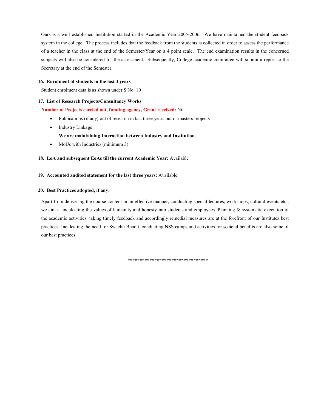Ours is a well established Institution started in the Academic Year 2005-2006. We have maintained the student feedback system in the college. The process includes that the feedback from the students is collected in order to assess the performance of a teacher in the class at the end of the Semester/Year on a 4 point scale. The end examination results in the concerned subjects will also be considered for the assessment. Subsequently, College academic committee will submit a report to the Secretary at the end of the Semester.

#### 16. Enrolment of students in the last 3 years

Student enrolment data is as shown under S.No. 10

#### 17. List of Research Projects/Consultancy Works

#### Number of Projects carried out, funding agency, Grant received: Nil

- Publications (if any) out of research in last three years out of masters projects
- Industry Linkage
	- We are maintaining Interaction between Industry and Institution.
- MoUs with Industries (minimum 3)

#### 18. LoA and subsequent EoAs till the current Academic Year: Available

#### 19. Accounted audited statement for the last three years: Available

#### 20. Best Practices adopted, if any:

Apart from delivering the course content in an effective manner, conducting special lectures, workshops, cultural events etc., we aim at inculcating the values of humanity and honesty into students and employees. Planning & systematic execution of the academic activities, taking timely feedback and accordingly remedial measures are at the forefront of our Institutes best practices. Inculcating the need for Swachh Bharat, conducting NSS camps and activities for societal benefits are also some of our best practices.

\*\*\*\*\*\*\*\*\*\*\*\*\*\*\*\*\*\*\*\*\*\*\*\*\*\*\*\*\*\*\*\*\*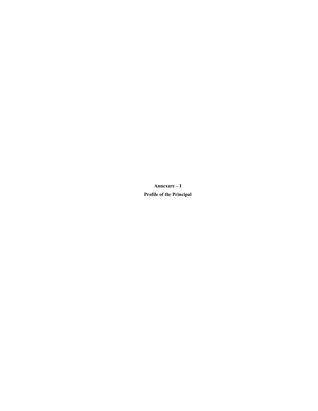Annexure – I Profile of the Principal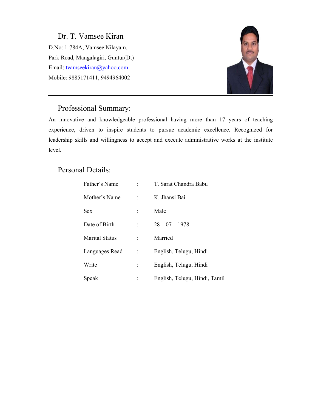Dr. T. Vamsee Kiran D.No: 1-784A, Vamsee Nilayam, Park Road, Mangalagiri, Guntur(Dt) Email: tvamseekiran@yahoo.com Mobile: 9885171411, 9494964002



# Professional Summary:

An innovative and knowledgeable professional having more than 17 years of teaching experience, driven to inspire students to pursue academic excellence. Recognized for leadership skills and willingness to accept and execute administrative works at the institute level.

# Personal Details:

| Father's Name         |                          | : T. Sarat Chandra Babu       |
|-----------------------|--------------------------|-------------------------------|
| Mother's Name         | <b>Contract Contract</b> | K. Jhansi Bai                 |
| <b>Sex</b>            |                          | Male                          |
| Date of Birth         | $\mathcal{L}$            | $28 - 07 - 1978$              |
| <b>Marital Status</b> |                          | Married                       |
| Languages Read :      |                          | English, Telugu, Hindi        |
| Write                 | $\mathbb{C}^{\times}$    | English, Telugu, Hindi        |
| Speak                 |                          | English, Telugu, Hindi, Tamil |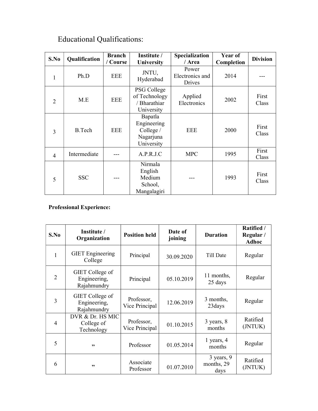| S.No           | Qualification | <b>Branch</b><br>/ Course | Institute /<br>University                                                            | Specialization<br>/ Area           | Year of<br>Completion | <b>Division</b> |
|----------------|---------------|---------------------------|--------------------------------------------------------------------------------------|------------------------------------|-----------------------|-----------------|
| 1              | Ph.D          | <b>EEE</b>                | JNTU,<br>Hyderabad                                                                   | Power<br>Electronics and<br>Drives | 2014                  |                 |
| $\overline{2}$ | M.E           | EEE                       | PSG College<br>of Technology<br>Applied<br>/ Bharathiar<br>Electronics<br>University |                                    | 2002                  | First<br>Class  |
| 3              | <b>B.Tech</b> | <b>EEE</b>                | Bapatla<br>Engineering<br>College /<br>Nagarjuna<br>University                       | <b>EEE</b>                         | 2000                  | First<br>Class  |
| 4              | Intermediate  |                           | A.P.R.J.C                                                                            | <b>MPC</b>                         | 1995                  | First<br>Class  |
| 5              | <b>SSC</b>    |                           | Nirmala<br>English<br>Medium<br>School,<br>Mangalagiri                               |                                    | 1993                  | First<br>Class  |

# Educational Qualifications:

# Professional Experience:

| S.No                        | Institute /<br>Organization                    | <b>Position held</b>         | Date of<br>joining | <b>Duration</b>                      | Ratified /<br>Regular /<br><b>Adhoc</b> |
|-----------------------------|------------------------------------------------|------------------------------|--------------------|--------------------------------------|-----------------------------------------|
| 1                           | <b>GIET</b> Engineering<br>College             | Principal                    | 30.09.2020         | Till Date                            | Regular                                 |
| $\mathcal{D}_{\mathcal{A}}$ | GIET College of<br>Engineering,<br>Rajahmundry | Principal                    | 05.10.2019         | 11 months,<br>25 days                | Regular                                 |
| 3                           | GIET College of<br>Engineering,<br>Rajahmundry | Professor,<br>Vice Principal | 12.06.2019         | 3 months,<br>23 days                 | Regular                                 |
| $\overline{4}$              | DVR & Dr. HS MIC<br>College of<br>Technology   | Professor,<br>Vice Principal | 01.10.2015         | 3 years, 8<br>months                 | Ratified<br>(JNTUK)                     |
| 5                           | ,,                                             | Professor                    | 01.05.2014         | 1 years, 4<br>months                 | Regular                                 |
| 6                           | ,,                                             | Associate<br>Professor       | 01.07.2010         | $3$ years, $9$<br>months, 29<br>days | Ratified<br>(JNTUK)                     |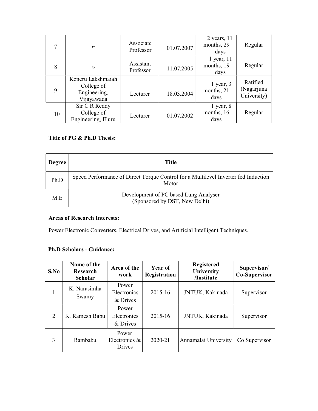|    | ,,                                                            | Associate<br>Professor | 01.07.2007 | $2$ years, 11<br>months, 29<br>days  | Regular                               |
|----|---------------------------------------------------------------|------------------------|------------|--------------------------------------|---------------------------------------|
| 8  | ,,                                                            | Assistant<br>Professor | 11.07.2005 | $1$ year, $11$<br>months, 19<br>days | Regular                               |
| 9  | Koneru Lakshmaiah<br>College of<br>Engineering,<br>Vijayawada | Lecturer               | 18.03.2004 | $1$ year, $3$<br>months, 21<br>days  | Ratified<br>(Nagarjuna<br>University) |
| 10 | Sir C R Reddy<br>College of<br>Engineering, Eluru             | Lecturer               | 01.07.2002 | $1$ year, $8$<br>months, 16<br>days  | Regular                               |

# Title of PG & Ph.D Thesis:

| <b>Degree</b> | Title                                                                                       |
|---------------|---------------------------------------------------------------------------------------------|
| Ph.D          | Speed Performance of Direct Torque Control for a Multilevel Inverter fed Induction<br>Motor |
| M.E           | Development of PC based Lung Analyser<br>(Sponsored by DST, New Delhi)                      |

# Areas of Research Interests:

Power Electronic Converters, Electrical Drives, and Artificial Intelligent Techniques.

# Ph.D Scholars - Guidance:

| S.No                        | Name of the<br>Research<br><b>Scholar</b> | Area of the<br>work                     | Year of<br>Registration | <b>Registered</b><br>University<br>/Institute | Supervisor/<br><b>Co-Supervisor</b> |
|-----------------------------|-------------------------------------------|-----------------------------------------|-------------------------|-----------------------------------------------|-------------------------------------|
|                             | K. Narasimha<br>Swamy                     | Power<br><b>Electronics</b><br>& Drives | 2015-16                 | JNTUK, Kakinada                               | Supervisor                          |
| $\mathcal{D}_{\mathcal{L}}$ | K. Ramesh Babu                            | Power<br><b>Electronics</b><br>& Drives | 2015-16                 | JNTUK, Kakinada                               | Supervisor                          |
| 3                           | Rambabu                                   | Power<br>Electronics $\&$<br>Drives     | 2020-21                 | Annamalai University                          | Co Supervisor                       |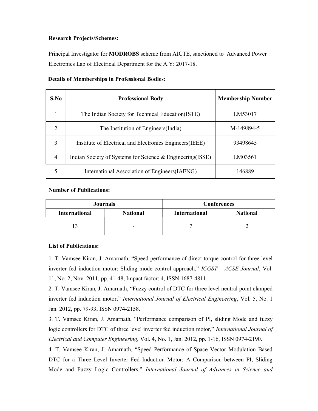## Research Projects/Schemes:

Principal Investigator for MODROBS scheme from AICTE, sanctioned to Advanced Power Electronics Lab of Electrical Department for the A.Y: 2017-18.

| S.No                        | <b>Professional Body</b>                                   | <b>Membership Number</b> |
|-----------------------------|------------------------------------------------------------|--------------------------|
|                             | The Indian Society for Technical Education(ISTE)           | LM53017                  |
| $\mathcal{D}_{\mathcal{L}}$ | The Institution of Engineers (India)                       | M-149894-5               |
| 3                           | Institute of Electrical and Electronics Engineers (IEEE)   | 93498645                 |
| 4                           | Indian Society of Systems for Science & Engineering (ISSE) | LM03561                  |
|                             | International Association of Engineers (IAENG)             | 146889                   |

## Details of Memberships in Professional Bodies:

## Number of Publications:

|                                         | <b>Journals</b> | <b>Conferences</b>   |                 |  |
|-----------------------------------------|-----------------|----------------------|-----------------|--|
| <b>International</b><br><b>National</b> |                 | <b>International</b> | <b>National</b> |  |
|                                         | -               |                      |                 |  |

# List of Publications:

1. T. Vamsee Kiran, J. Amarnath, "Speed performance of direct torque control for three level inverter fed induction motor: Sliding mode control approach," ICGST – ACSE Journal, Vol. 11, No. 2, Nov. 2011, pp. 41-48, Impact factor: 4, ISSN 1687-4811.

2. T. Vamsee Kiran, J. Amarnath, "Fuzzy control of DTC for three level neutral point clamped inverter fed induction motor," International Journal of Electrical Engineering, Vol. 5, No. 1 Jan. 2012, pp. 79-93, ISSN 0974-2158.

3. T. Vamsee Kiran, J. Amarnath, "Performance comparison of PI, sliding Mode and fuzzy logic controllers for DTC of three level inverter fed induction motor," *International Journal of* Electrical and Computer Engineering, Vol. 4, No. 1, Jan. 2012, pp. 1-16, ISSN 0974-2190.

4. T. Vamsee Kiran, J. Amarnath, "Speed Performance of Space Vector Modulation Based DTC for a Three Level Inverter Fed Induction Motor: A Comparison between PI, Sliding Mode and Fuzzy Logic Controllers," International Journal of Advances in Science and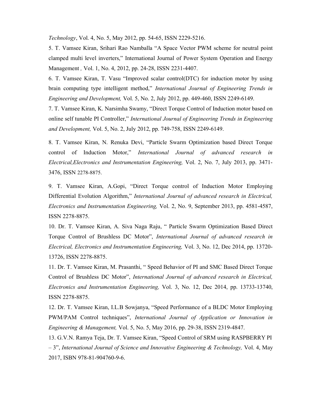Technology, Vol. 4, No. 5, May 2012, pp. 54-65, ISSN 2229-5216.

5. T. Vamsee Kiran, Srihari Rao Namballa "A Space Vector PWM scheme for neutral point clamped multi level inverters," International Journal of Power System Operation and Energy Management , Vol. 1, No. 4, 2012, pp. 24-28, ISSN 2231-4407.

6. T. Vamsee Kiran, T. Vasu "Improved scalar control(DTC) for induction motor by using brain computing type intelligent method," International Journal of Engineering Trends in Engineering and Development, Vol. 5, No. 2, July 2012, pp. 449-460, ISSN 2249-6149.

7. T. Vamsee Kiran, K. Narsimha Swamy, "Direct Torque Control of Induction motor based on online self tunable PI Controller," International Journal of Engineering Trends in Engineering and Development, Vol. 5, No. 2, July 2012, pp. 749-758, ISSN 2249-6149.

8. T. Vamsee Kiran, N. Renuka Devi, "Particle Swarm Optimization based Direct Torque control of Induction Motor," International Journal of advanced research in Electrical,Electronics and Instrumentation Engineering, Vol. 2, No. 7, July 2013, pp. 3471- 3476, ISSN 2278-8875.

9. T. Vamsee Kiran, A.Gopi, "Direct Torque control of Induction Motor Employing Differential Evolution Algorithm," International Journal of advanced research in Electrical, Electronics and Instrumentation Engineering, Vol. 2, No. 9, September 2013, pp. 4581-4587, ISSN 2278-8875.

10. Dr. T. Vamsee Kiran, A. Siva Naga Raju, " Particle Swarm Optimization Based Direct Torque Control of Brushless DC Motor", International Journal of advanced research in Electrical, Electronics and Instrumentation Engineering, Vol. 3, No. 12, Dec 2014, pp. 13720- 13726, ISSN 2278-8875.

11. Dr. T. Vamsee Kiran, M. Prasanthi, " Speed Behavior of PI and SMC Based Direct Torque Control of Brushless DC Motor", International Journal of advanced research in Electrical, Electronics and Instrumentation Engineering, Vol. 3, No. 12, Dec 2014, pp. 13733-13740, ISSN 2278-8875.

12. Dr. T. Vamsee Kiran, I.L.B Sowjanya, "Speed Performance of a BLDC Motor Employing PWM/PAM Control techniques", International Journal of Application or Innovation in Engineering & Management, Vol. 5, No. 5, May 2016, pp. 29-38, ISSN 2319-4847.

13. G.V.N. Ramya Teja, Dr. T. Vamsee Kiran, "Speed Control of SRM using RASPBERRY PI – 3", International Journal of Science and Innovative Engineering & Technology, Vol. 4, May 2017, ISBN 978-81-904760-9-6.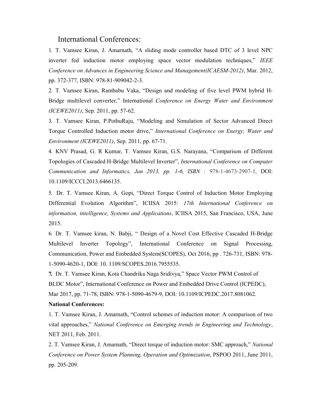# International Conferences:

1. T. Vamsee Kiran, J. Amarnath, "A sliding mode controller based DTC of 3 level NPC inverter fed induction motor employing space vector modulation techniques," IEEE Conference on Advances in Engineering Science and Management(ICAESM-2012), Mar. 2012, pp. 372-377, ISBN: 978-81-909042-2-3.

2. T. Vamsee Kiran, Rambabu Vaka, "Design and modeling of five level PWM hybrid H-Bridge multilevel converter," International Conference on Energy Water and Environment (ICEWE2011), Sep. 2011, pp. 57-62.

3. T. Vamsee Kiran, P.PothuRaju, "Modeling and Simulation of Sector Advanced Direct Torque Controlled Induction motor drive," International Conference on Energy, Water and Environment (ICEWE2011), Sep. 2011, pp. 67-71.

4. KNV Prasad, G. R Kumar, T. Vamsee Kiran, G.S. Narayana, "Comparison of Different Topologies of Cascaded H-Bridge Multilevel Inverter", International Conference on Computer Communication and Informatics, Jan 2013, pp. 1-6, ISBN : 978-1-4673-2907-1, DOI: 10.1109/ICCCI.2013.6466135.

5. Dr. T. Vamsee Kiran, A. Gopi, "Direct Torque Control of Induction Motor Employing Differential Evolution Algorithm", ICIISA 2015: 17th International Conference on information, intelligence, Systems and Applications, ICIISA 2015, San Francisco, USA, June 2015.

6. Dr. T. Vamsee kiran, N. Babji, " Design of a Novel Cost Effective Cascaded H-Bridge Multilevel Inverter Topology", International Conference on Signal Processing, Communication, Power and Embedded System(SCOPES), Oct 2016, pp . 726-731, ISBN: 978- 1-5090-4620-1, DOI: 10. 1109/SCOPES.2016.7955535.

7. Dr. T. Vamsee Kiran, Kota Chandrika Naga Sridivya," Space Vector PWM Control of BLDC Motor", International Conference on Power and Embedded Drive Control (ICPEDC), Mar 2017, pp. 71-78, ISBN: 978-1-5090-4679-9, DOI: 10.1109/ICPEDC.2017.8081062.

#### National Conferences:

1. T. Vamsee Kiran, J. Amarnath, "Control schemes of induction motor: A comparison of two vital approaches," National Conference on Emerging trends in Engineering and Technology, NET 2011, Feb. 2011.

2. T. Vamsee Kiran, J. Amarnath, "Direct torque of induction motor: SMC approach," National Conference on Power System Planning, Operation and Optimization, PSPOO 2011, June 2011, pp. 205-209.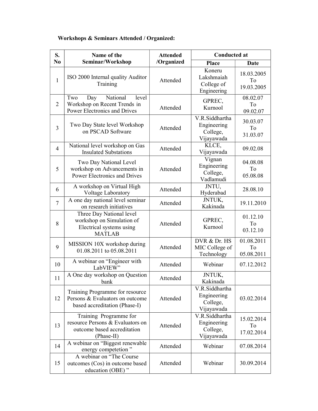# Workshops & Seminars Attended / Organized:

| S.             | <b>Conducted at</b><br>Name of the<br><b>Attended</b>                                                   |            |                                                         |                                |
|----------------|---------------------------------------------------------------------------------------------------------|------------|---------------------------------------------------------|--------------------------------|
| N <sub>0</sub> | Seminar/Workshop                                                                                        | /Organized | <b>Place</b>                                            | Date                           |
| $\mathbf{1}$   | ISO 2000 Internal quality Auditor<br>Training                                                           | Attended   | Koneru<br>Lakshmaiah<br>College of<br>Engineering       | 18.03.2005<br>To<br>19.03.2005 |
| $\overline{2}$ | National<br>Two<br>Day<br>level<br>Workshop on Recent Trends in<br>Power Electronics and Drives         | Attended   | GPREC,<br>Kurnool                                       | 08.02.07<br>To<br>09.02.07     |
| 3              | Two Day State level Workshop<br>on PSCAD Software                                                       | Attended   | V.R.Siddhartha<br>Engineering<br>College,<br>Vijayawada | 30.03.07<br>To<br>31.03.07     |
| $\overline{4}$ | National level workshop on Gas<br><b>Insulated Substations</b>                                          | Attended   | KLCE,<br>Vijayawada                                     | 09.02.08                       |
| 5              | Two Day National Level<br>workshop on Advancements in<br>Power Electronics and Drives                   | Attended   | Vignan<br>Engineering<br>College,<br>Vadlamudi          | 04.08.08<br>To<br>05.08.08     |
| 6              | A workshop on Virtual High<br>Voltage Laboratory                                                        | Attended   | JNTU,<br>Hyderabad                                      | 28.08.10                       |
| $\tau$         | A one day national level seminar<br>on research initiatives                                             | Attended   | JNTUK,<br>Kakinada                                      | 19.11.2010                     |
| 8              | Three Day National level<br>workshop on Simulation of<br>Electrical systems using<br><b>MATLAB</b>      | Attended   | GPREC,<br>Kurnool                                       | 01.12.10<br>To<br>03.12.10     |
| 9              | MISSION 10X workshop during<br>01.08.2011 to 05.08.2011                                                 | Attended   | DVR & Dr. HS<br>MIC College of<br>Technology            | 01.08.2011<br>To<br>05.08.2011 |
| 10             | A webinar on "Engineer with<br>LabVIEW"                                                                 | Attended   | Webinar                                                 | 07.12.2012                     |
| 11             | A One day workshop on Question<br>bank                                                                  | Attended   | JNTUK,<br>Kakinada                                      |                                |
| 12             | Training Programme for resource<br>Persons & Evaluators on outcome<br>based accreditation (Phase-I)     | Attended   | V.R.Siddhartha<br>Engineering<br>College,<br>Vijayawada | 03.02.2014                     |
| 13             | Training Programme for<br>resource Persons & Evaluators on<br>outcome based accreditation<br>(Phase-II) | Attended   | V.R.Siddhartha<br>Engineering<br>College,<br>Vijayawada | 15.02.2014<br>To<br>17.02.2014 |
| 14             | A webinar on "Biggest renewable<br>energy competetion"                                                  | Attended   | Webinar                                                 | 07.08.2014                     |
| 15             | A webinar on "The Course<br>outcomes (Cos) in outcome based<br>education (OBE)"                         | Attended   | Webinar                                                 | 30.09.2014                     |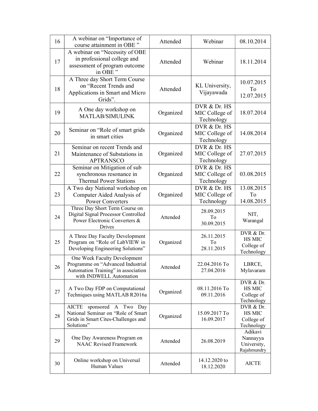| 16 | A webinar on "Importance of<br>course attainment in OBE"                                                                            | Attended  | Webinar                                      | 08.10.2014                                             |
|----|-------------------------------------------------------------------------------------------------------------------------------------|-----------|----------------------------------------------|--------------------------------------------------------|
| 17 | A webinar on "Necessity of OBE<br>in professional college and<br>assessment of program outcome<br>in OBE"                           | Attended  | Webinar                                      | 18.11.2014                                             |
| 18 | A Three day Short Term Course<br>on "Recent Trends and<br>Applications in Smart and Micro<br>Grids".                                | Attended  | KL University,<br>Vijayawada                 | 10.07.2015<br>To<br>12.07.2015                         |
| 19 | A One day workshop on<br><b>MATLAB/SIMULINK</b>                                                                                     | Organized | DVR & Dr. HS<br>MIC College of<br>Technology | 18.07.2014                                             |
| 20 | Seminar on "Role of smart grids<br>in smart cities                                                                                  | Organized | DVR & Dr. HS<br>MIC College of<br>Technology | 14.08.2014                                             |
| 21 | Seminar on recent Trends and<br>Maintenance of Substations in<br><b>APTRANSCO</b>                                                   | Organized | DVR & Dr. HS<br>MIC College of<br>Technology | 27.07.2015                                             |
| 22 | Seminar on Mitigation of sub<br>synchronous resonance in<br><b>Thermal Power Stations</b>                                           | Organized | DVR & Dr. HS<br>MIC College of<br>Technology | 03.08.2015                                             |
| 23 | A Two day National workshop on<br>Computer Aided Analysis of<br><b>Power Converters</b>                                             | Organized | DVR & Dr. HS<br>MIC College of<br>Technology | 13.08.2015<br>To<br>14.08.2015                         |
| 24 | Three Day Short Term Course on<br>Digital Signal Processor Controlled<br>Power Electronic Converters &<br>Drives                    | Attended  | 28.09.2015<br>To<br>30.09.2015               | NIT,<br>Warangal                                       |
| 25 | A Three Day Faculty Development<br>Program on "Role of LabVIEW in<br>Developing Engineering Solutions"                              | Organized | 26.11.2015<br>To<br>28.11.2015               | DVR & Dr.<br><b>HS MIC</b><br>College of<br>Technology |
| 26 | One Week Faculty Development<br>Programme on "Advanced Industrial<br>Automation Training" in association<br>with INDWELL Automation | Attended  | 22.04.2016 To<br>27.04.2016                  | LBRCE,<br>Mylavaram                                    |
| 27 | A Two Day FDP on Computational<br>Techniques using MATLAB R2016a                                                                    | Organized | 08.11.2016 To<br>09.11.2016                  | DVR & Dr.<br><b>HS MIC</b><br>College of<br>Technology |
| 28 | sponsored A Two Day<br><b>AICTE</b><br>National Seminar on "Role of Smart<br>Grids in Smart Cites-Challenges and<br>Solutions"      | Organized | 15.09.2017 To<br>16.09.2017                  | DVR & Dr.<br><b>HS MIC</b><br>College of<br>Technology |
| 29 | One Day Awareness Program on<br><b>NAAC Revised Framework</b>                                                                       | Attended  | 26.08.2019                                   | Adikavi<br>Nannayya<br>University,<br>Rajahmundry      |
| 30 | Online workshop on Universal                                                                                                        | Attended  | 14.12.2020 to                                | <b>AICTE</b>                                           |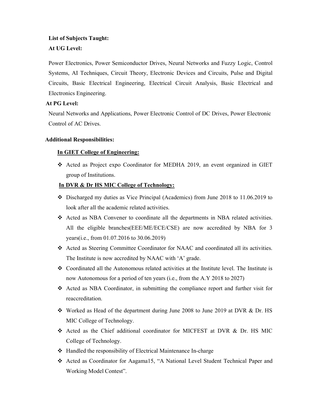# List of Subjects Taught:

# At UG Level:

Power Electronics, Power Semiconductor Drives, Neural Networks and Fuzzy Logic, Control Systems, AI Techniques, Circuit Theory, Electronic Devices and Circuits, Pulse and Digital Circuits, Basic Electrical Engineering, Electrical Circuit Analysis, Basic Electrical and Electronics Engineering.

# At PG Level:

Neural Networks and Applications, Power Electronic Control of DC Drives, Power Electronic Control of AC Drives.

# Additional Responsibilities:

# In GIET College of Engineering:

 Acted as Project expo Coordinator for MEDHA 2019, an event organized in GIET group of Institutions.

# In DVR & Dr HS MIC College of Technology:

- $\div$  Discharged my duties as Vice Principal (Academics) from June 2018 to 11.06.2019 to look after all the academic related activities.
- Acted as NBA Convener to coordinate all the departments in NBA related activities. All the eligible branches(EEE/ME/ECE/CSE) are now accredited by NBA for 3 years(i.e., from 01.07.2016 to 30.06.2019)
- Acted as Steering Committee Coordinator for NAAC and coordinated all its activities. The Institute is now accredited by NAAC with 'A' grade.
- Coordinated all the Autonomous related activities at the Institute level. The Institute is now Autonomous for a period of ten years (i.e., from the A.Y 2018 to 2027)
- Acted as NBA Coordinator, in submitting the compliance report and further visit for reaccreditation.
- Worked as Head of the department during June 2008 to June 2019 at DVR & Dr. HS MIC College of Technology.
- Acted as the Chief additional coordinator for MICFEST at DVR & Dr. HS MIC College of Technology.
- Handled the responsibility of Electrical Maintenance In-charge
- Acted as Coordinator for Aagama15, "A National Level Student Technical Paper and Working Model Contest".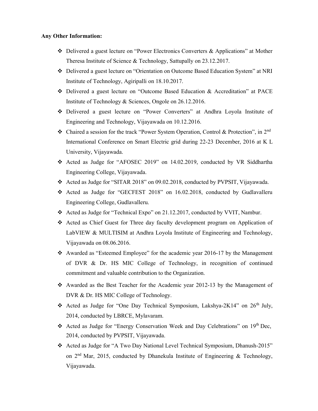### Any Other Information:

- Delivered a guest lecture on "Power Electronics Converters & Applications" at Mother Theresa Institute of Science & Technology, Sattupally on 23.12.2017.
- Delivered a guest lecture on "Orientation on Outcome Based Education System" at NRI Institute of Technology, Agiripalli on 18.10.2017.
- Delivered a guest lecture on "Outcome Based Education & Accreditation" at PACE Institute of Technology & Sciences, Ongole on 26.12.2016.
- Delivered a guest lecture on "Power Converters" at Andhra Loyola Institute of Engineering and Technology, Vijayawada on 10.12.2016.
- Chaired a session for the track "Power System Operation, Control & Protection", in  $2<sup>nd</sup>$ International Conference on Smart Electric grid during 22-23 December, 2016 at K L University, Vijayawada.
- Acted as Judge for "AFOSEC 2019" on 14.02.2019, conducted by VR Siddhartha Engineering College, Vijayawada.
- Acted as Judge for "SITAR 2018" on 09.02.2018, conducted by PVPSIT, Vijayawada.
- Acted as Judge for "GECFEST 2018" on 16.02.2018, conducted by Gudlavalleru Engineering College, Gudlavalleru.
- Acted as Judge for "Technical Expo" on 21.12.2017, conducted by VVIT, Nambur.
- Acted as Chief Guest for Three day faculty development program on Application of LabVIEW & MULTISIM at Andhra Loyola Institute of Engineering and Technology, Vijayawada on 08.06.2016.
- Awarded as "Esteemed Employee" for the academic year 2016-17 by the Management of DVR & Dr. HS MIC College of Technology, in recognition of continued commitment and valuable contribution to the Organization.
- Awarded as the Best Teacher for the Academic year 2012-13 by the Management of DVR & Dr. HS MIC College of Technology.
- Acted as Judge for "One Day Technical Symposium, Lakshya-2K14" on  $26<sup>th</sup>$  July, 2014, conducted by LBRCE, Mylavaram.
- Acted as Judge for "Energy Conservation Week and Day Celebrations" on  $19<sup>th</sup>$  Dec, 2014, conducted by PVPSIT, Vijayawada.
- \* Acted as Judge for "A Two Day National Level Technical Symposium, Dhanush-2015" on  $2<sup>nd</sup>$  Mar, 2015, conducted by Dhanekula Institute of Engineering & Technology, Vijayawada.